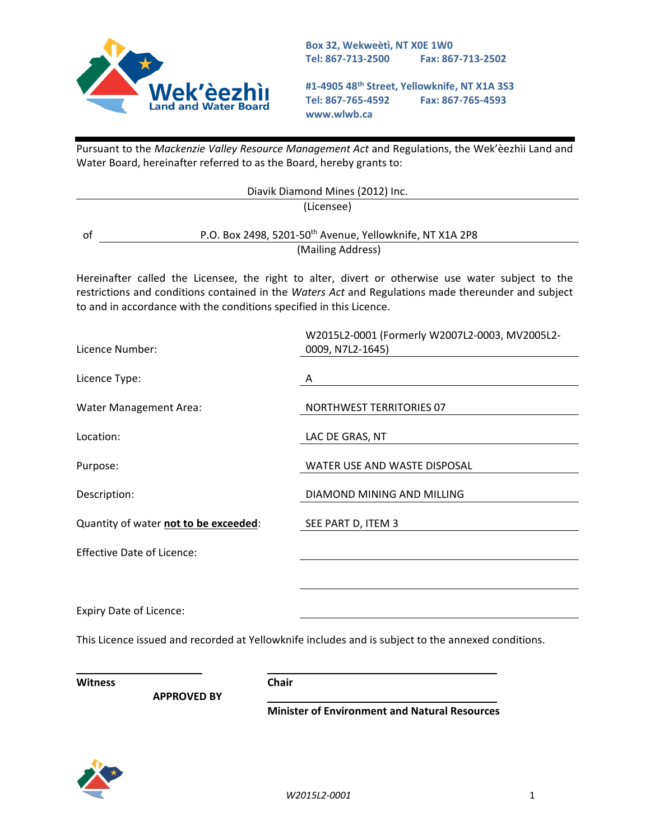

**Box 32, Wekweètì, NT X0E 1W0 Tel: 867-713-2500 Fax: 867-713-2502** 

**#1-4905 48th Street, Yellowknife, NT X1A 3S3 Tel: 867-765-4592 Fax: 867-765-4593 www.wlwb.ca**

Pursuant to the *Mackenzie Valley Resource Management Act* and Regulations, the Wek'èezhìi Land and Water Board, hereinafter referred to as the Board, hereby grants to:

|                                                                     | Diavik Diamond Mines (2012) Inc.                                                                                                                                                                         |  |  |  |
|---------------------------------------------------------------------|----------------------------------------------------------------------------------------------------------------------------------------------------------------------------------------------------------|--|--|--|
|                                                                     | (Licensee)                                                                                                                                                                                               |  |  |  |
| of                                                                  | P.O. Box 2498, 5201-50 <sup>th</sup> Avenue, Yellowknife, NT X1A 2P8                                                                                                                                     |  |  |  |
|                                                                     | (Mailing Address)                                                                                                                                                                                        |  |  |  |
| to and in accordance with the conditions specified in this Licence. | Hereinafter called the Licensee, the right to alter, divert or otherwise use water subject to the<br>restrictions and conditions contained in the Waters Act and Regulations made thereunder and subject |  |  |  |
| Licence Number:                                                     | W2015L2-0001 (Formerly W2007L2-0003, MV2005L2-<br>0009, N7L2-1645)                                                                                                                                       |  |  |  |
| Licence Type:                                                       | A                                                                                                                                                                                                        |  |  |  |
| <b>Water Management Area:</b>                                       | <b>NORTHWEST TERRITORIES 07</b>                                                                                                                                                                          |  |  |  |
| Location:                                                           | LAC DE GRAS, NT                                                                                                                                                                                          |  |  |  |
| Purpose:                                                            | WATER USE AND WASTE DISPOSAL                                                                                                                                                                             |  |  |  |
| Description:                                                        | DIAMOND MINING AND MILLING                                                                                                                                                                               |  |  |  |
| Quantity of water not to be exceeded:                               | SEE PART D, ITEM 3                                                                                                                                                                                       |  |  |  |
| <b>Effective Date of Licence:</b>                                   |                                                                                                                                                                                                          |  |  |  |
|                                                                     |                                                                                                                                                                                                          |  |  |  |
| <b>Expiry Date of Licence:</b>                                      |                                                                                                                                                                                                          |  |  |  |
|                                                                     | This Licence issued and recorded at Yellowknife includes and is subject to the annexed conditions.                                                                                                       |  |  |  |
| <b>Witness</b>                                                      | <b>Chair</b>                                                                                                                                                                                             |  |  |  |

**APPROVED BY** 

**Minister of Environment and Natural Resources**

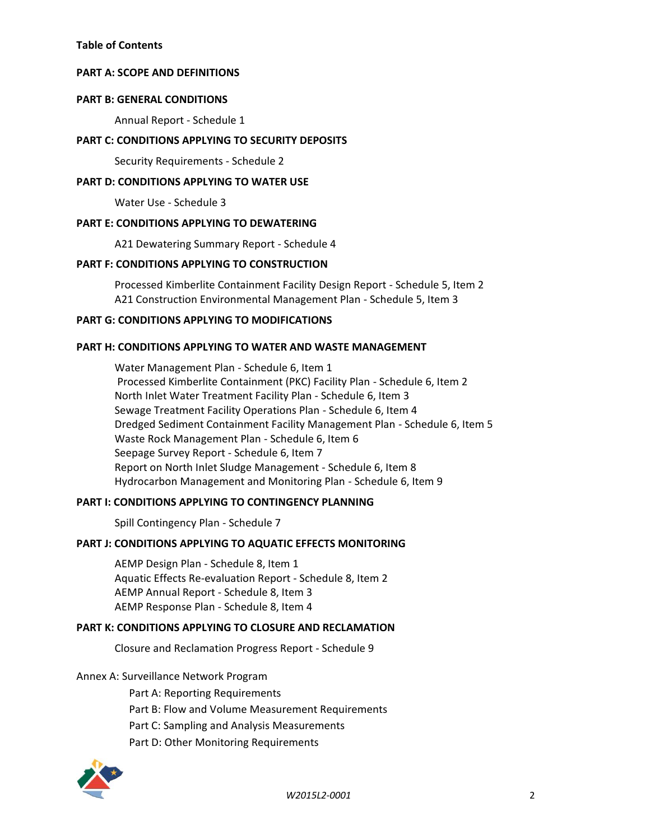### **[PART A: SCOPE AND DEFINITIONS](#page-2-0)**

#### **[PART B: GENERAL CONDITIONS](#page-8-0)**

Annual Report - Schedule 1

### **[PART C: CONDITIONS APPLYING TO SECURITY DEPOSITS](#page-9-0)**

Security Requirements - Schedule 2

### **[PART D: CONDITIONS APPLYING TO WATER USE](#page-10-0)**

Water Use - Schedule 3

#### **[PART E: CONDITIONS APPLYING TO DEWATERING](#page-11-0)**

A21 Dewatering Summary Report - Schedule 4

# **[PART F: CONDITIONS APPLYING TO CONSTRUCTION](#page-12-0)**

Processed Kimberlite Containment Facility Design Report - Schedule 5, Item 2 A21 Construction Environmental Management Plan - Schedule 5, Item 3

#### **[PART G: CONDITIONS APPLYING TO MODIFICATIONS](#page-14-0)**

#### **[PART H: CONDITIONS APPLYING TO WATER AND WASTE MANAGEMENT](#page-15-0)**

Water Management Plan - Schedule 6, Item 1 Processed Kimberlite Containment (PKC) Facility Plan - Schedule 6, Item 2 North Inlet Water Treatment Facility Plan - Schedule 6, Item 3 Sewage Treatment Facility Operations Plan - Schedule 6, Item 4 Dredged Sediment Containment Facility Management Plan - Schedule 6, Item 5 Waste Rock Management Plan - Schedule 6, Item 6 Seepage Survey Report - Schedule 6, Item 7 Report on North Inlet Sludge Management - Schedule 6, Item 8 Hydrocarbon Management and Monitoring Plan - Schedule 6, Item 9

### **[PART I: CONDITIONS APPLYING TO CONTINGENCY PLANNING](#page-22-0)**

Spill Contingency Plan - Schedule 7

### **[PART J: CONDITIONS APPLYING TO AQUATIC EFFECTS MONITORING](#page-23-0)**

AEMP Design Plan - Schedule 8, Item 1 Aquatic Effects Re-evaluation Report - Schedule 8, Item 2 AEMP Annual Report - Schedule 8, Item 3 AEMP Response Plan - Schedule 8, Item 4

### **[PART K: CONDITIONS APPLYING TO CLOSURE AND RECLAMATION](#page-25-0)**

Closure and Reclamation Progress Report - Schedule 9

### Annex A: Surveillance Network Program

Part A: Reporting Requirements Part B: Flow and Volume Measurement Requirements Part C: Sampling and Analysis Measurements Part D: Other Monitoring Requirements

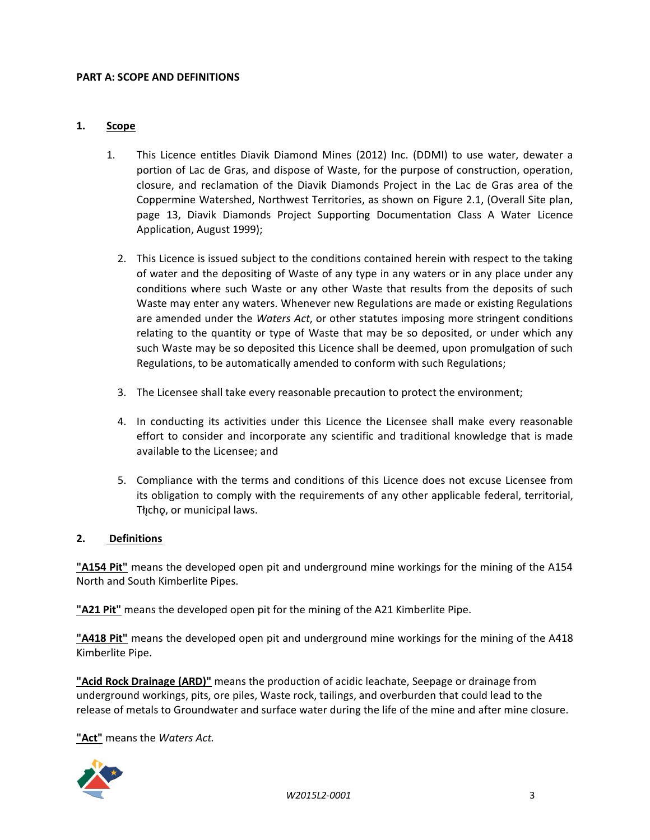#### <span id="page-2-0"></span>**PART A: SCOPE AND DEFINITIONS**

#### **1. Scope**

- 1. This Licence entitles Diavik Diamond Mines (2012) Inc. (DDMI) to use water, dewater a portion of Lac de Gras, and dispose of Waste, for the purpose of construction, operation, closure, and reclamation of the Diavik Diamonds Project in the Lac de Gras area of the Coppermine Watershed, Northwest Territories, as shown on Figure 2.1, (Overall Site plan, page 13, Diavik Diamonds Project Supporting Documentation Class A Water Licence Application, August 1999);
	- 2. This Licence is issued subject to the conditions contained herein with respect to the taking of water and the depositing of Waste of any type in any waters or in any place under any conditions where such Waste or any other Waste that results from the deposits of such Waste may enter any waters. Whenever new Regulations are made or existing Regulations are amended under the *Waters Act*, or other statutes imposing more stringent conditions relating to the quantity or type of Waste that may be so deposited, or under which any such Waste may be so deposited this Licence shall be deemed, upon promulgation of such Regulations, to be automatically amended to conform with such Regulations;
	- 3. The Licensee shall take every reasonable precaution to protect the environment;
	- 4. In conducting its activities under this Licence the Licensee shall make every reasonable effort to consider and incorporate any scientific and traditional knowledge that is made available to the Licensee; and
	- 5. Compliance with the terms and conditions of this Licence does not excuse Licensee from its obligation to comply with the requirements of any other applicable federal, territorial, The right, or municipal laws.

### **2. Definitions**

**"A154 Pit"** means the developed open pit and underground mine workings for the mining of the A154 North and South Kimberlite Pipes.

**"A21 Pit"** means the developed open pit for the mining of the A21 Kimberlite Pipe.

**"A418 Pit"** means the developed open pit and underground mine workings for the mining of the A418 Kimberlite Pipe.

**"Acid Rock Drainage (ARD)"** means the production of acidic leachate, Seepage or drainage from underground workings, pits, ore piles, Waste rock, tailings, and overburden that could lead to the release of metals to Groundwater and surface water during the life of the mine and after mine closure.

**"Act"** means the *Waters Act.*

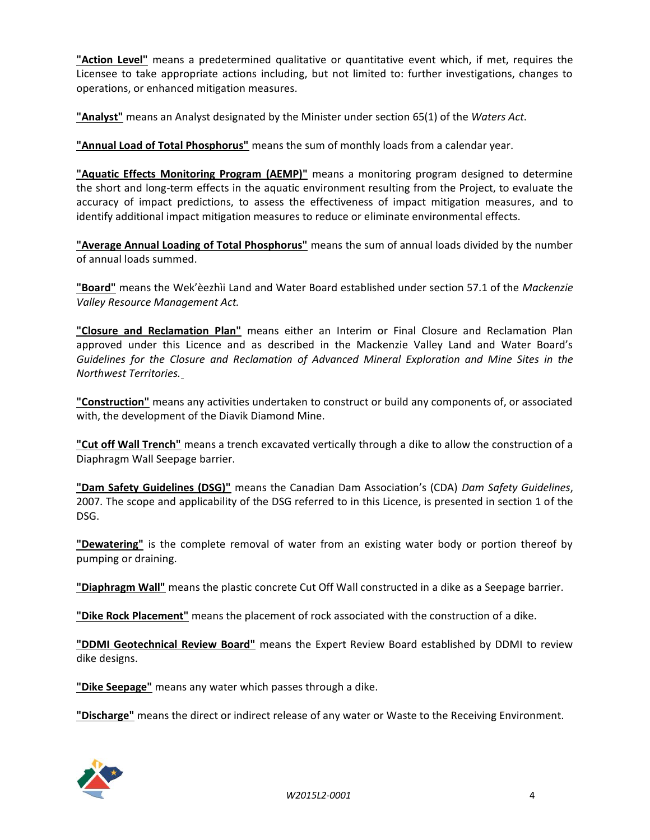**"Action Level"** means a predetermined qualitative or quantitative event which, if met, requires the Licensee to take appropriate actions including, but not limited to: further investigations, changes to operations, or enhanced mitigation measures.

**"Analyst"** means an Analyst designated by the Minister under section 65(1) of the *Waters Act*.

**"Annual Load of Total Phosphorus"** means the sum of monthly loads from a calendar year.

**"Aquatic Effects Monitoring Program (AEMP)"** means a monitoring program designed to determine the short and long-term effects in the aquatic environment resulting from the Project, to evaluate the accuracy of impact predictions, to assess the effectiveness of impact mitigation measures, and to identify additional impact mitigation measures to reduce or eliminate environmental effects.

**"Average Annual Loading of Total Phosphorus"** means the sum of annual loads divided by the number of annual loads summed.

**"Board"** means the Wek'èezhìi Land and Water Board established under section 57.1 of the *Mackenzie Valley Resource Management Act.* 

**"Closure and Reclamation Plan"** means either an Interim or Final Closure and Reclamation Plan approved under this Licence and as described in the Mackenzie Valley Land and Water Board's *Guidelines for the Closure and Reclamation of Advanced Mineral Exploration and Mine Sites in the Northwest Territories.*

**"Construction"** means any activities undertaken to construct or build any components of, or associated with, the development of the Diavik Diamond Mine.

**"Cut off Wall Trench"** means a trench excavated vertically through a dike to allow the construction of a Diaphragm Wall Seepage barrier.

**"Dam Safety Guidelines (DSG)"** means the Canadian Dam Association's (CDA) *Dam Safety Guidelines*, 2007. The scope and applicability of the DSG referred to in this Licence, is presented in section 1 of the DSG.

**"Dewatering"** is the complete removal of water from an existing water body or portion thereof by pumping or draining.

**"Diaphragm Wall"** means the plastic concrete Cut Off Wall constructed in a dike as a Seepage barrier.

**"Dike Rock Placement"** means the placement of rock associated with the construction of a dike.

**"DDMI Geotechnical Review Board"** means the Expert Review Board established by DDMI to review dike designs.

**"Dike Seepage"** means any water which passes through a dike.

**"Discharge"** means the direct or indirect release of any water or Waste to the Receiving Environment.

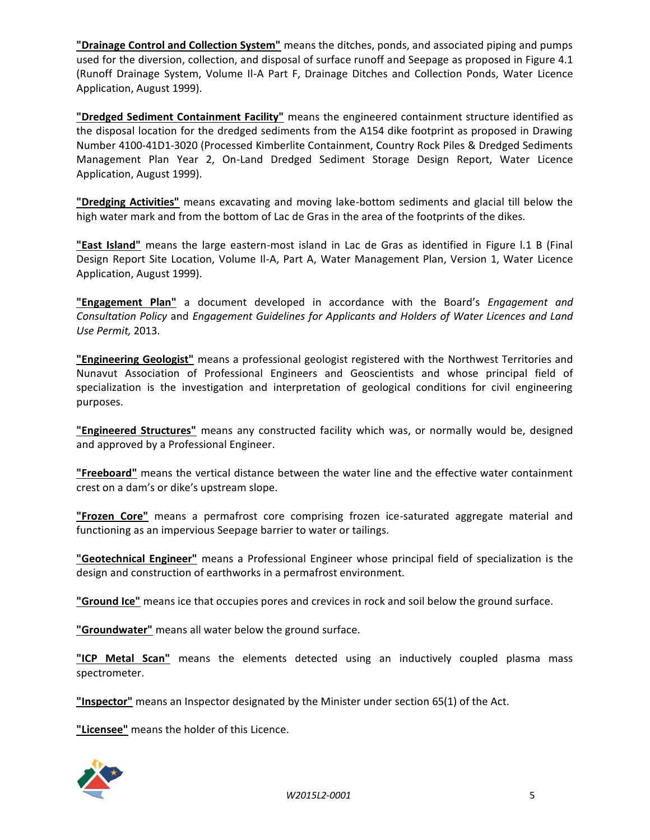**"Drainage Control and Collection System"** means the ditches, ponds, and associated piping and pumps used for the diversion, collection, and disposal of surface runoff and Seepage as proposed in Figure 4.1 (Runoff Drainage System, Volume Il-A Part F, Drainage Ditches and Collection Ponds, Water Licence Application, August 1999).

**"Dredged Sediment Containment Facility"** means the engineered containment structure identified as the disposal location for the dredged sediments from the A154 dike footprint as proposed in Drawing Number 4100-41D1-3020 (Processed Kimberlite Containment, Country Rock Piles & Dredged Sediments Management Plan Year 2, On-Land Dredged Sediment Storage Design Report, Water Licence Application, August 1999).

**"Dredging Activities"** means excavating and moving lake-bottom sediments and glacial till below the high water mark and from the bottom of Lac de Gras in the area of the footprints of the dikes.

**"East Island"** means the large eastern-most island in Lac de Gras as identified in Figure l.1 B (Final Design Report Site Location, Volume Il-A, Part A, Water Management Plan, Version 1, Water Licence Application, August 1999).

**"Engagement Plan"** a document developed in accordance with the Board's *Engagement and Consultation Policy* and *Engagement Guidelines for Applicants and Holders of Water Licences and Land Use Permit,* 2013.

**"Engineering Geologist"** means a professional geologist registered with the Northwest Territories and Nunavut Association of Professional Engineers and Geoscientists and whose principal field of specialization is the investigation and interpretation of geological conditions for civil engineering purposes.

**"Engineered Structures"** means any constructed facility which was, or normally would be, designed and approved by a Professional Engineer.

**"Freeboard"** means the vertical distance between the water line and the effective water containment crest on a dam's or dike's upstream slope.

**"Frozen Core"** means a permafrost core comprising frozen ice-saturated aggregate material and functioning as an impervious Seepage barrier to water or tailings.

**"Geotechnical Engineer"** means a Professional Engineer whose principal field of specialization is the design and construction of earthworks in a permafrost environment.

**"Ground Ice"** means ice that occupies pores and crevices in rock and soil below the ground surface.

**"Groundwater"** means all water below the ground surface.

**"ICP Metal Scan"** means the elements detected using an inductively coupled plasma mass spectrometer.

**"Inspector"** means an Inspector designated by the Minister under section 65(1) of the Act.

**"Licensee"** means the holder of this Licence.

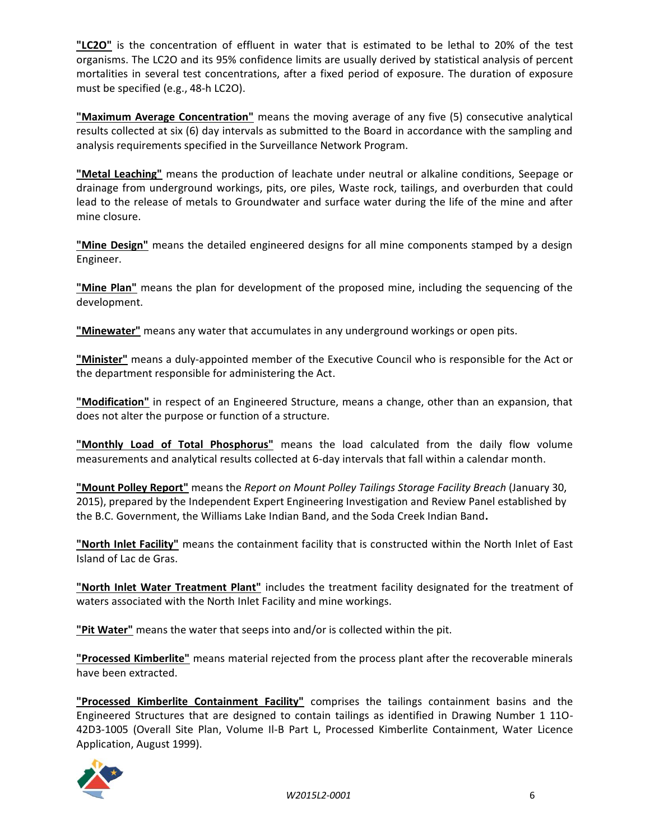**"LC2O"** is the concentration of effluent in water that is estimated to be lethal to 20% of the test organisms. The LC2O and its 95% confidence limits are usually derived by statistical analysis of percent mortalities in several test concentrations, after a fixed period of exposure. The duration of exposure must be specified (e.g., 48-h LC2O).

**"Maximum Average Concentration"** means the moving average of any five (5) consecutive analytical results collected at six (6) day intervals as submitted to the Board in accordance with the sampling and analysis requirements specified in the Surveillance Network Program.

**"Metal Leaching"** means the production of leachate under neutral or alkaline conditions, Seepage or drainage from underground workings, pits, ore piles, Waste rock, tailings, and overburden that could lead to the release of metals to Groundwater and surface water during the life of the mine and after mine closure.

**"Mine Design"** means the detailed engineered designs for all mine components stamped by a design Engineer.

**"Mine Plan"** means the plan for development of the proposed mine, including the sequencing of the development.

**"Minewater"** means any water that accumulates in any underground workings or open pits.

**"Minister"** means a duly-appointed member of the Executive Council who is responsible for the Act or the department responsible for administering the Act.

**"Modification"** in respect of an Engineered Structure, means a change, other than an expansion, that does not alter the purpose or function of a structure.

**"Monthly Load of Total Phosphorus"** means the load calculated from the daily flow volume measurements and analytical results collected at 6-day intervals that fall within a calendar month.

**"Mount Polley Report"** means the *Report on Mount Polley Tailings Storage Facility Breach* (January 30, 2015), prepared by the Independent Expert Engineering Investigation and Review Panel established by the B.C. Government, the Williams Lake Indian Band, and the Soda Creek Indian Band**.**

**"North Inlet Facility"** means the containment facility that is constructed within the North Inlet of East Island of Lac de Gras.

**"North Inlet Water Treatment Plant"** includes the treatment facility designated for the treatment of waters associated with the North Inlet Facility and mine workings.

**"Pit Water"** means the water that seeps into and/or is collected within the pit.

**"Processed Kimberlite"** means material rejected from the process plant after the recoverable minerals have been extracted.

**"Processed Kimberlite Containment Facility"** comprises the tailings containment basins and the Engineered Structures that are designed to contain tailings as identified in Drawing Number 1 11O-42D3-1005 (Overall Site Plan, Volume Il-B Part L, Processed Kimberlite Containment, Water Licence Application, August 1999).

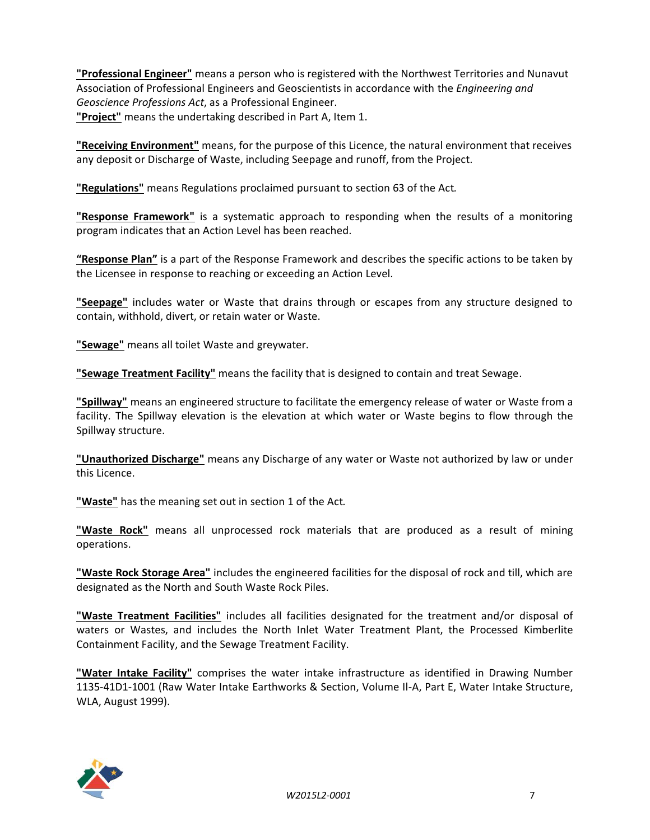**"Professional Engineer"** means a person who is registered with the Northwest Territories and Nunavut Association of Professional Engineers and Geoscientists in accordance with the *Engineering and Geoscience Professions Act*, as a Professional Engineer. **"Project"** means the undertaking described in Part A, Item 1.

**"Receiving Environment"** means, for the purpose of this Licence, the natural environment that receives any deposit or Discharge of Waste, including Seepage and runoff, from the Project.

**"Regulations"** means Regulations proclaimed pursuant to section 63 of the Act*.*

**"Response Framework"** is a systematic approach to responding when the results of a monitoring program indicates that an Action Level has been reached.

**"Response Plan"** is a part of the Response Framework and describes the specific actions to be taken by the Licensee in response to reaching or exceeding an Action Level.

**"Seepage"** includes water or Waste that drains through or escapes from any structure designed to contain, withhold, divert, or retain water or Waste.

**"Sewage"** means all toilet Waste and greywater.

**"Sewage Treatment Facility"** means the facility that is designed to contain and treat Sewage.

**"Spillway"** means an engineered structure to facilitate the emergency release of water or Waste from a facility. The Spillway elevation is the elevation at which water or Waste begins to flow through the Spillway structure.

**"Unauthorized Discharge"** means any Discharge of any water or Waste not authorized by law or under this Licence.

**"Waste"** has the meaning set out in section 1 of the Act*.*

**"Waste Rock"** means all unprocessed rock materials that are produced as a result of mining operations.

**"Waste Rock Storage Area"** includes the engineered facilities for the disposal of rock and till, which are designated as the North and South Waste Rock Piles.

**"Waste Treatment Facilities"** includes all facilities designated for the treatment and/or disposal of waters or Wastes, and includes the North Inlet Water Treatment Plant, the Processed Kimberlite Containment Facility, and the Sewage Treatment Facility.

**"Water Intake Facility"** comprises the water intake infrastructure as identified in Drawing Number 1135-41D1-1001 (Raw Water Intake Earthworks & Section, Volume Il-A, Part E, Water Intake Structure, WLA, August 1999).

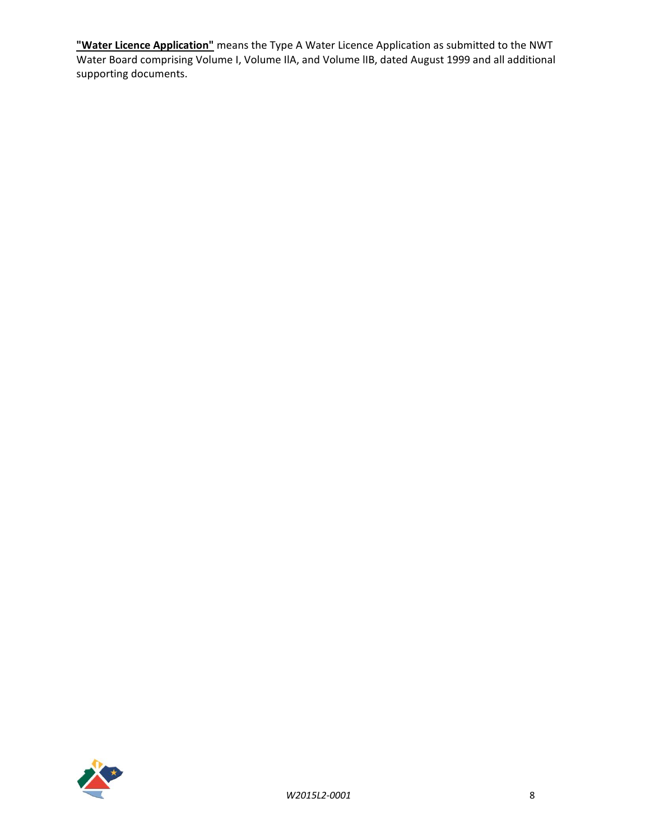**"Water Licence Application"** means the Type A Water Licence Application as submitted to the NWT Water Board comprising Volume I, Volume IlA, and Volume lIB, dated August 1999 and all additional supporting documents.

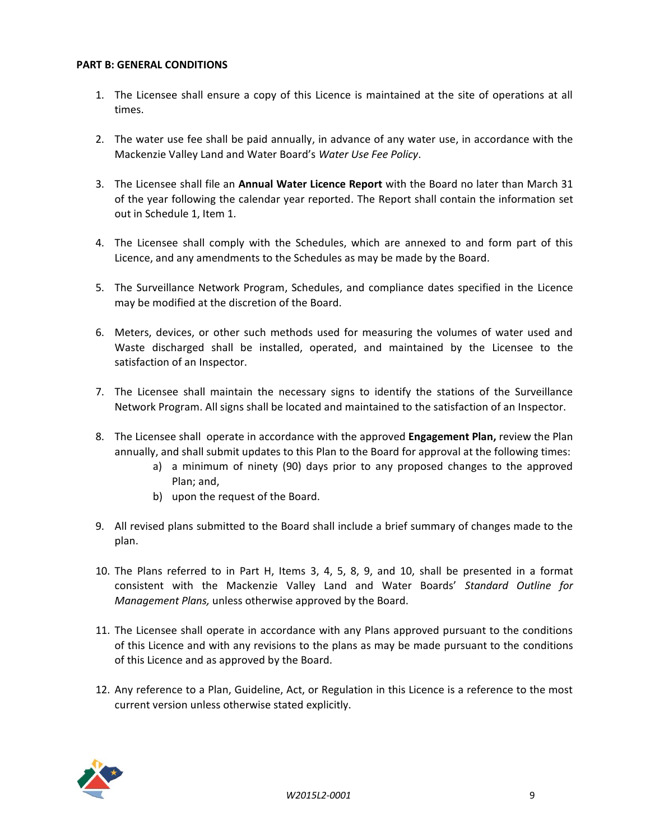#### <span id="page-8-0"></span>**PART B: GENERAL CONDITIONS**

- 1. The Licensee shall ensure a copy of this Licence is maintained at the site of operations at all times.
- 2. The water use fee shall be paid annually, in advance of any water use, in accordance with the Mackenzie Valley Land and Water Board's *Water Use Fee Policy*.
- 3. The Licensee shall file an **Annual Water Licence Report** with the Board no later than March 31 of the year following the calendar year reported. The Report shall contain the information set out in Schedule 1, Item 1.
- 4. The Licensee shall comply with the Schedules, which are annexed to and form part of this Licence, and any amendments to the Schedules as may be made by the Board.
- 5. The Surveillance Network Program, Schedules, and compliance dates specified in the Licence may be modified at the discretion of the Board.
- 6. Meters, devices, or other such methods used for measuring the volumes of water used and Waste discharged shall be installed, operated, and maintained by the Licensee to the satisfaction of an Inspector.
- 7. The Licensee shall maintain the necessary signs to identify the stations of the Surveillance Network Program. All signs shall be located and maintained to the satisfaction of an Inspector.
- 8. The Licensee shall operate in accordance with the approved **Engagement Plan,** review the Plan annually, and shall submit updates to this Plan to the Board for approval at the following times:
	- a) a minimum of ninety (90) days prior to any proposed changes to the approved Plan; and,
	- b) upon the request of the Board.
- 9. All revised plans submitted to the Board shall include a brief summary of changes made to the plan.
- 10. The Plans referred to in Part H, Items 3, 4, 5, 8, 9, and 10, shall be presented in a format consistent with the Mackenzie Valley Land and Water Boards' *Standard Outline for Management Plans,* unless otherwise approved by the Board.
- 11. The Licensee shall operate in accordance with any Plans approved pursuant to the conditions of this Licence and with any revisions to the plans as may be made pursuant to the conditions of this Licence and as approved by the Board.
- 12. Any reference to a Plan, Guideline, Act, or Regulation in this Licence is a reference to the most current version unless otherwise stated explicitly.

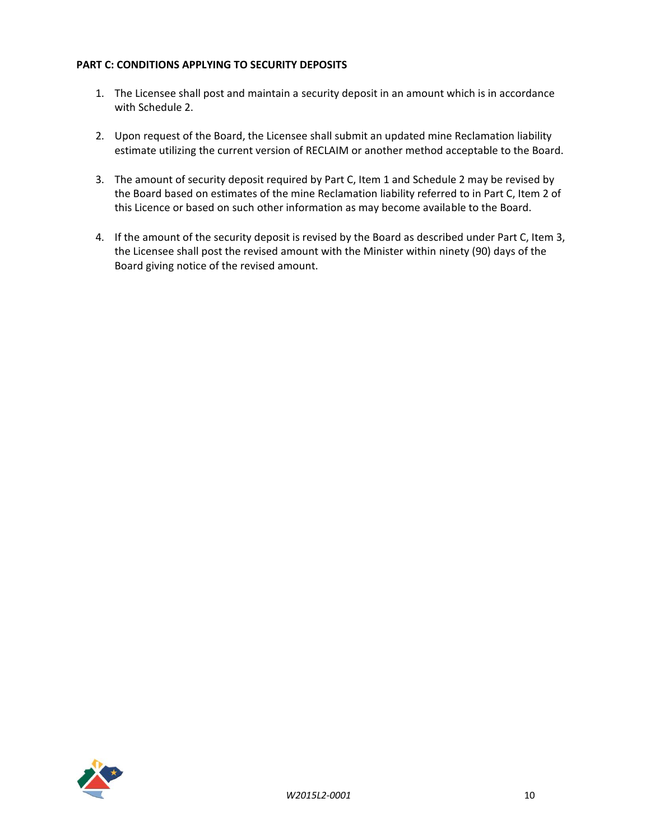### <span id="page-9-0"></span>**PART C: CONDITIONS APPLYING TO SECURITY DEPOSITS**

- 1. The Licensee shall post and maintain a security deposit in an amount which is in accordance with Schedule 2.
- 2. Upon request of the Board, the Licensee shall submit an updated mine Reclamation liability estimate utilizing the current version of RECLAIM or another method acceptable to the Board.
- 3. The amount of security deposit required by Part C, Item 1 and Schedule 2 may be revised by the Board based on estimates of the mine Reclamation liability referred to in Part C, Item 2 of this Licence or based on such other information as may become available to the Board.
- 4. If the amount of the security deposit is revised by the Board as described under Part C, Item 3, the Licensee shall post the revised amount with the Minister within ninety (90) days of the Board giving notice of the revised amount.

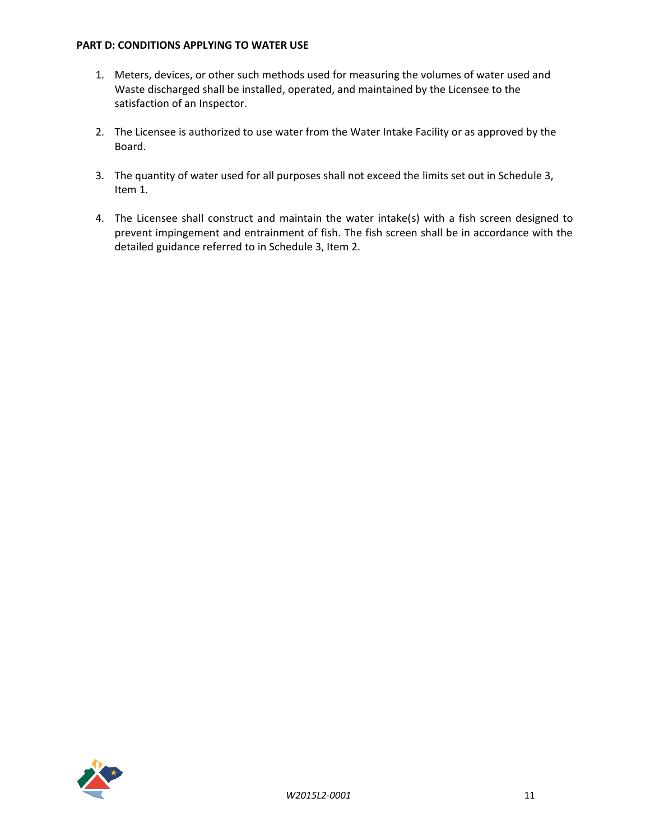#### <span id="page-10-0"></span>**PART D: CONDITIONS APPLYING TO WATER USE**

- 1. Meters, devices, or other such methods used for measuring the volumes of water used and Waste discharged shall be installed, operated, and maintained by the Licensee to the satisfaction of an Inspector.
- 2. The Licensee is authorized to use water from the Water Intake Facility or as approved by the Board.
- 3. The quantity of water used for all purposes shall not exceed the limits set out in Schedule 3, Item 1.
- 4. The Licensee shall construct and maintain the water intake(s) with a fish screen designed to prevent impingement and entrainment of fish. The fish screen shall be in accordance with the detailed guidance referred to in Schedule 3, Item 2.

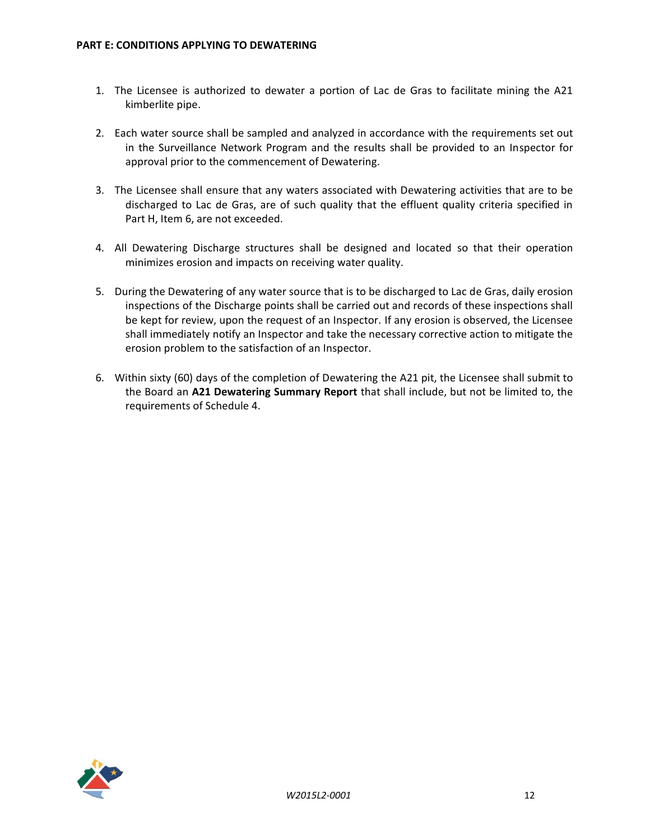- <span id="page-11-0"></span>1. The Licensee is authorized to dewater a portion of Lac de Gras to facilitate mining the A21 kimberlite pipe.
- 2. Each water source shall be sampled and analyzed in accordance with the requirements set out in the Surveillance Network Program and the results shall be provided to an Inspector for approval prior to the commencement of Dewatering.
- 3. The Licensee shall ensure that any waters associated with Dewatering activities that are to be discharged to Lac de Gras, are of such quality that the effluent quality criteria specified in Part H, Item 6, are not exceeded.
- 4. All Dewatering Discharge structures shall be designed and located so that their operation minimizes erosion and impacts on receiving water quality.
- 5. During the Dewatering of any water source that is to be discharged to Lac de Gras, daily erosion inspections of the Discharge points shall be carried out and records of these inspections shall be kept for review, upon the request of an Inspector. If any erosion is observed, the Licensee shall immediately notify an Inspector and take the necessary corrective action to mitigate the erosion problem to the satisfaction of an Inspector.
- 6. Within sixty (60) days of the completion of Dewatering the A21 pit, the Licensee shall submit to the Board an **A21 Dewatering Summary Report** that shall include, but not be limited to, the requirements of Schedule 4.

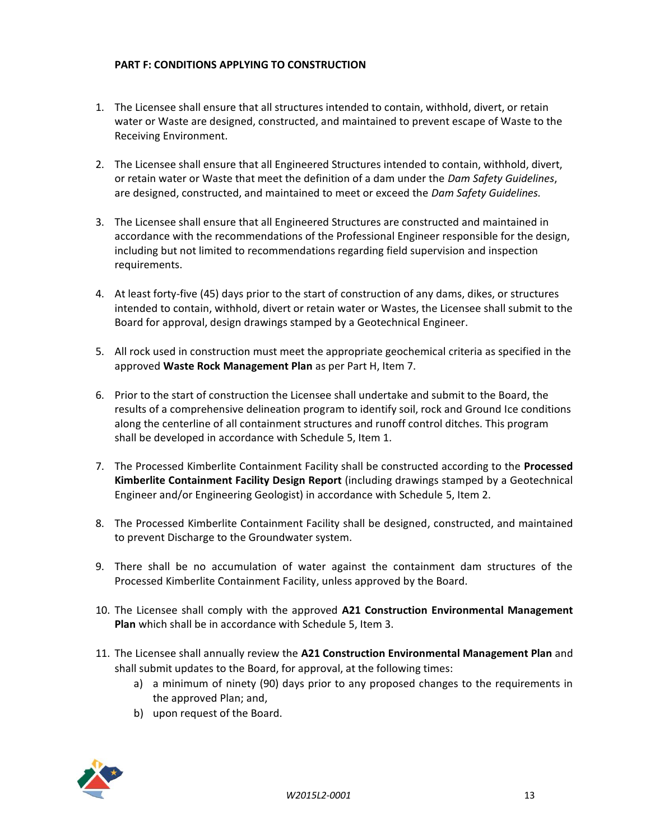## <span id="page-12-0"></span>**PART F: CONDITIONS APPLYING TO CONSTRUCTION**

- 1. The Licensee shall ensure that all structures intended to contain, withhold, divert, or retain water or Waste are designed, constructed, and maintained to prevent escape of Waste to the Receiving Environment.
- 2. The Licensee shall ensure that all Engineered Structures intended to contain, withhold, divert, or retain water or Waste that meet the definition of a dam under the *Dam Safety Guidelines*, are designed, constructed, and maintained to meet or exceed the *Dam Safety Guidelines.*
- 3. The Licensee shall ensure that all Engineered Structures are constructed and maintained in accordance with the recommendations of the Professional Engineer responsible for the design, including but not limited to recommendations regarding field supervision and inspection requirements.
- 4. At least forty-five (45) days prior to the start of construction of any dams, dikes, or structures intended to contain, withhold, divert or retain water or Wastes, the Licensee shall submit to the Board for approval, design drawings stamped by a Geotechnical Engineer.
- 5. All rock used in construction must meet the appropriate geochemical criteria as specified in the approved **Waste Rock Management Plan** as per Part H, Item 7.
- 6. Prior to the start of construction the Licensee shall undertake and submit to the Board, the results of a comprehensive delineation program to identify soil, rock and Ground Ice conditions along the centerline of all containment structures and runoff control ditches. This program shall be developed in accordance with Schedule 5, Item 1.
- 7. The Processed Kimberlite Containment Facility shall be constructed according to the **Processed Kimberlite Containment Facility Design Report** (including drawings stamped by a Geotechnical Engineer and/or Engineering Geologist) in accordance with Schedule 5, Item 2.
- 8. The Processed Kimberlite Containment Facility shall be designed, constructed, and maintained to prevent Discharge to the Groundwater system.
- 9. There shall be no accumulation of water against the containment dam structures of the Processed Kimberlite Containment Facility, unless approved by the Board.
- 10. The Licensee shall comply with the approved **A21 Construction Environmental Management Plan** which shall be in accordance with Schedule 5, Item 3.
- 11. The Licensee shall annually review the **A21 Construction Environmental Management Plan** and shall submit updates to the Board, for approval, at the following times:
	- a) a minimum of ninety (90) days prior to any proposed changes to the requirements in the approved Plan; and,
	- b) upon request of the Board.

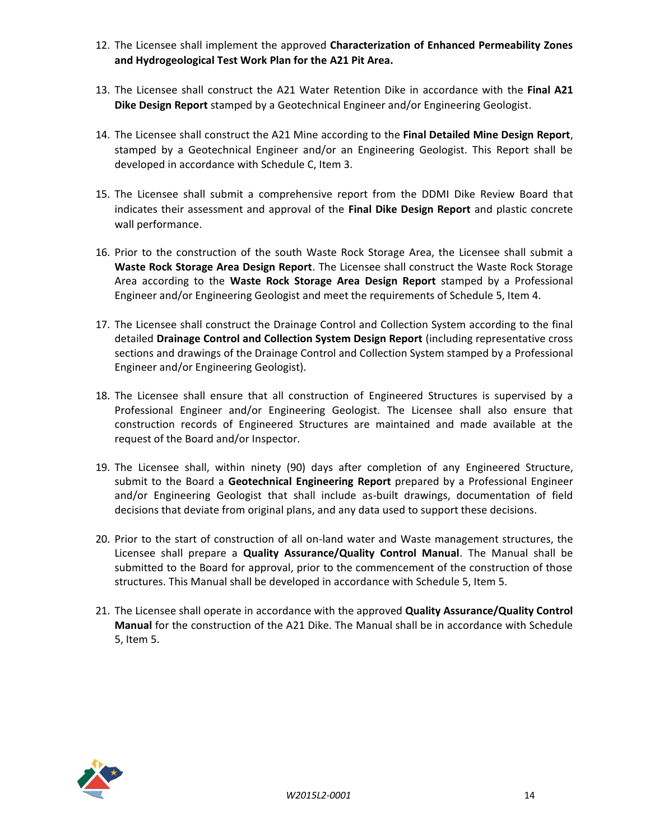- 12. The Licensee shall implement the approved **Characterization of Enhanced Permeability Zones and Hydrogeological Test Work Plan for the A21 Pit Area.**
- 13. The Licensee shall construct the A21 Water Retention Dike in accordance with the **Final A21 Dike Design Report** stamped by a Geotechnical Engineer and/or Engineering Geologist.
- 14. The Licensee shall construct the A21 Mine according to the **Final Detailed Mine Design Report**, stamped by a Geotechnical Engineer and/or an Engineering Geologist. This Report shall be developed in accordance with Schedule C, Item 3.
- 15. The Licensee shall submit a comprehensive report from the DDMI Dike Review Board that indicates their assessment and approval of the **Final Dike Design Report** and plastic concrete wall performance.
- 16. Prior to the construction of the south Waste Rock Storage Area, the Licensee shall submit a **Waste Rock Storage Area Design Report**. The Licensee shall construct the Waste Rock Storage Area according to the **Waste Rock Storage Area Design Report** stamped by a Professional Engineer and/or Engineering Geologist and meet the requirements of Schedule 5, Item 4.
- 17. The Licensee shall construct the Drainage Control and Collection System according to the final detailed **Drainage Control and Collection System Design Report** (including representative cross sections and drawings of the Drainage Control and Collection System stamped by a Professional Engineer and/or Engineering Geologist).
- 18. The Licensee shall ensure that all construction of Engineered Structures is supervised by a Professional Engineer and/or Engineering Geologist. The Licensee shall also ensure that construction records of Engineered Structures are maintained and made available at the request of the Board and/or Inspector.
- 19. The Licensee shall, within ninety (90) days after completion of any Engineered Structure, submit to the Board a **Geotechnical Engineering Report** prepared by a Professional Engineer and/or Engineering Geologist that shall include as-built drawings, documentation of field decisions that deviate from original plans, and any data used to support these decisions.
- 20. Prior to the start of construction of all on-land water and Waste management structures, the Licensee shall prepare a **Quality Assurance/Quality Control Manual**. The Manual shall be submitted to the Board for approval, prior to the commencement of the construction of those structures. This Manual shall be developed in accordance with Schedule 5, Item 5.
- 21. The Licensee shall operate in accordance with the approved **Quality Assurance/Quality Control Manual** for the construction of the A21 Dike. The Manual shall be in accordance with Schedule 5, Item 5.

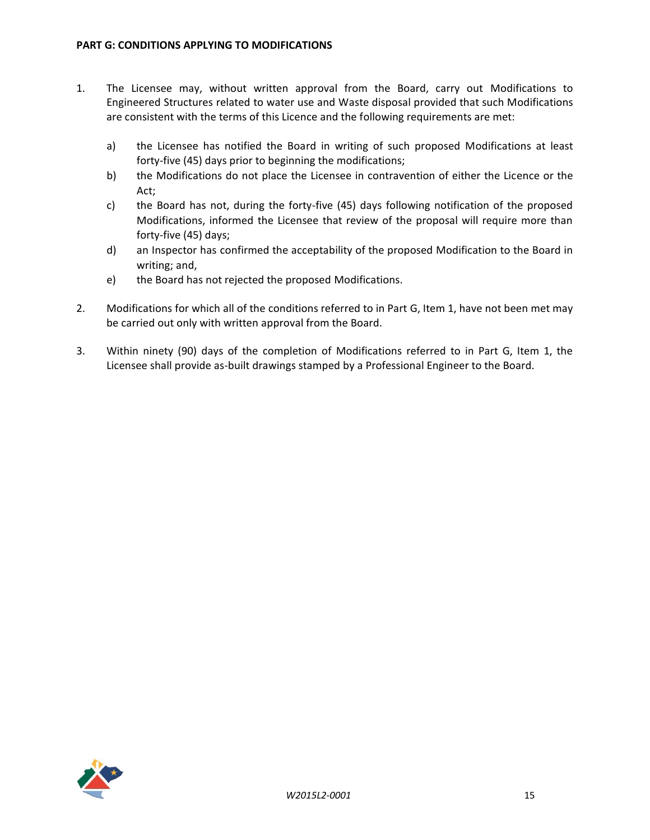- <span id="page-14-0"></span>1. The Licensee may, without written approval from the Board, carry out Modifications to Engineered Structures related to water use and Waste disposal provided that such Modifications are consistent with the terms of this Licence and the following requirements are met:
	- a) the Licensee has notified the Board in writing of such proposed Modifications at least forty-five (45) days prior to beginning the modifications;
	- b) the Modifications do not place the Licensee in contravention of either the Licence or the Act;
	- c) the Board has not, during the forty-five (45) days following notification of the proposed Modifications, informed the Licensee that review of the proposal will require more than forty-five (45) days;
	- d) an Inspector has confirmed the acceptability of the proposed Modification to the Board in writing; and,
	- e) the Board has not rejected the proposed Modifications.
- 2. Modifications for which all of the conditions referred to in Part G, Item 1, have not been met may be carried out only with written approval from the Board.
- 3. Within ninety (90) days of the completion of Modifications referred to in Part G, Item 1, the Licensee shall provide as-built drawings stamped by a Professional Engineer to the Board.

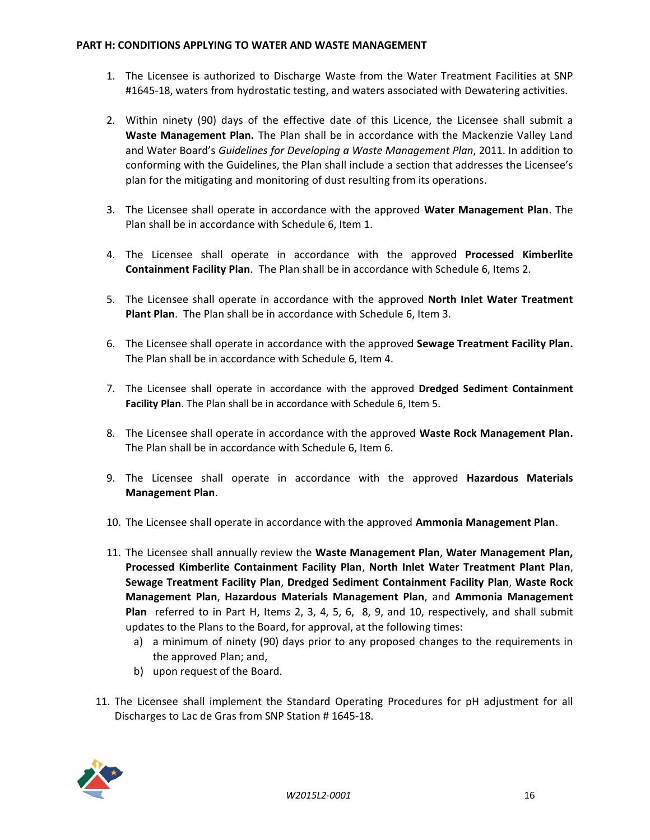#### <span id="page-15-0"></span>**PART H: CONDITIONS APPLYING TO WATER AND WASTE MANAGEMENT**

- 1. The Licensee is authorized to Discharge Waste from the Water Treatment Facilities at SNP #1645-18, waters from hydrostatic testing, and waters associated with Dewatering activities.
- 2. Within ninety (90) days of the effective date of this Licence, the Licensee shall submit a **Waste Management Plan.** The Plan shall be in accordance with the Mackenzie Valley Land and Water Board's *Guidelines for Developing a Waste Management Plan*, 2011. In addition to conforming with the Guidelines, the Plan shall include a section that addresses the Licensee's plan for the mitigating and monitoring of dust resulting from its operations.
- 3. The Licensee shall operate in accordance with the approved **Water Management Plan**. The Plan shall be in accordance with Schedule 6, Item 1.
- 4. The Licensee shall operate in accordance with the approved **Processed Kimberlite Containment Facility Plan**. The Plan shall be in accordance with Schedule 6, Items 2.
- 5. The Licensee shall operate in accordance with the approved **North Inlet Water Treatment Plant Plan**. The Plan shall be in accordance with Schedule 6, Item 3.
- 6. The Licensee shall operate in accordance with the approved **Sewage Treatment Facility Plan.** The Plan shall be in accordance with Schedule 6, Item 4.
- 7. The Licensee shall operate in accordance with the approved **Dredged Sediment Containment Facility Plan**. The Plan shall be in accordance with Schedule 6, Item 5.
- 8. The Licensee shall operate in accordance with the approved **Waste Rock Management Plan.** The Plan shall be in accordance with Schedule 6, Item 6.
- 9. The Licensee shall operate in accordance with the approved **Hazardous Materials Management Plan**.
- 10. The Licensee shall operate in accordance with the approved **Ammonia Management Plan**.
- 11. The Licensee shall annually review the **Waste Management Plan**, **Water Management Plan, Processed Kimberlite Containment Facility Plan**, **North Inlet Water Treatment Plant Plan**, **Sewage Treatment Facility Plan**, **Dredged Sediment Containment Facility Plan**, **Waste Rock Management Plan**, **Hazardous Materials Management Plan**, and **Ammonia Management Plan** referred to in Part H, Items 2, 3, 4, 5, 6, 8, 9, and 10, respectively, and shall submit updates to the Plans to the Board, for approval, at the following times:
	- a) a minimum of ninety (90) days prior to any proposed changes to the requirements in the approved Plan; and,
	- b) upon request of the Board.
- 11. The Licensee shall implement the Standard Operating Procedures for pH adjustment for all Discharges to Lac de Gras from SNP Station # 1645-18.

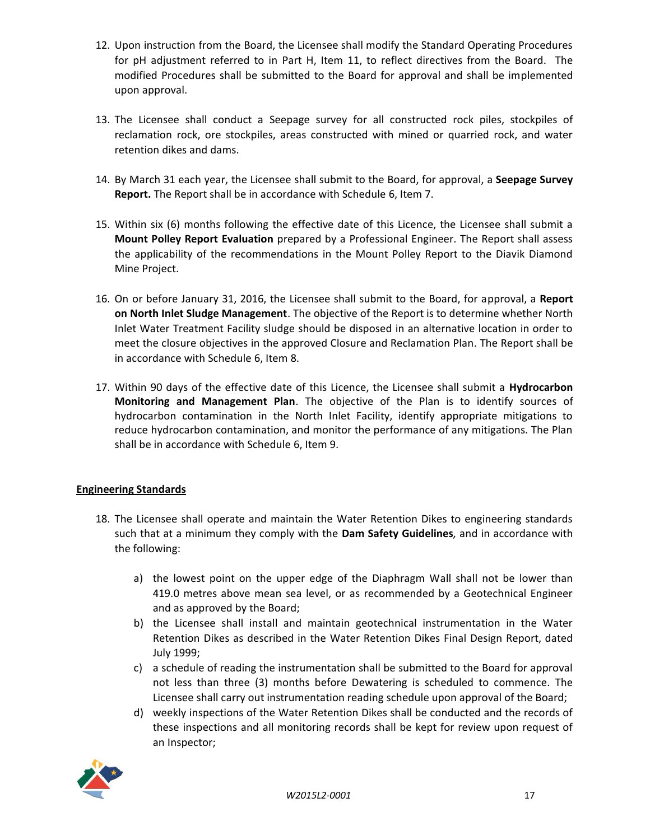- 12. Upon instruction from the Board, the Licensee shall modify the Standard Operating Procedures for pH adjustment referred to in Part H, Item 11, to reflect directives from the Board. The modified Procedures shall be submitted to the Board for approval and shall be implemented upon approval.
- 13. The Licensee shall conduct a Seepage survey for all constructed rock piles, stockpiles of reclamation rock, ore stockpiles, areas constructed with mined or quarried rock, and water retention dikes and dams.
- 14. By March 31 each year, the Licensee shall submit to the Board, for approval, a **Seepage Survey Report.** The Report shall be in accordance with Schedule 6, Item 7.
- 15. Within six (6) months following the effective date of this Licence, the Licensee shall submit a **Mount Polley Report Evaluation** prepared by a Professional Engineer. The Report shall assess the applicability of the recommendations in the Mount Polley Report to the Diavik Diamond Mine Project.
- 16. On or before January 31, 2016, the Licensee shall submit to the Board, for approval, a **Report on North Inlet Sludge Management**. The objective of the Report is to determine whether North Inlet Water Treatment Facility sludge should be disposed in an alternative location in order to meet the closure objectives in the approved Closure and Reclamation Plan. The Report shall be in accordance with Schedule 6, Item 8.
- 17. Within 90 days of the effective date of this Licence, the Licensee shall submit a **Hydrocarbon Monitoring and Management Plan**. The objective of the Plan is to identify sources of hydrocarbon contamination in the North Inlet Facility, identify appropriate mitigations to reduce hydrocarbon contamination, and monitor the performance of any mitigations. The Plan shall be in accordance with Schedule 6, Item 9.

### **Engineering Standards**

- 18. The Licensee shall operate and maintain the Water Retention Dikes to engineering standards such that at a minimum they comply with the **Dam Safety Guidelines***,* and in accordance with the following:
	- a) the lowest point on the upper edge of the Diaphragm Wall shall not be lower than 419.0 metres above mean sea level, or as recommended by a Geotechnical Engineer and as approved by the Board;
	- b) the Licensee shall install and maintain geotechnical instrumentation in the Water Retention Dikes as described in the Water Retention Dikes Final Design Report, dated July 1999;
	- c) a schedule of reading the instrumentation shall be submitted to the Board for approval not less than three (3) months before Dewatering is scheduled to commence. The Licensee shall carry out instrumentation reading schedule upon approval of the Board;
	- d) weekly inspections of the Water Retention Dikes shall be conducted and the records of these inspections and all monitoring records shall be kept for review upon request of an Inspector;

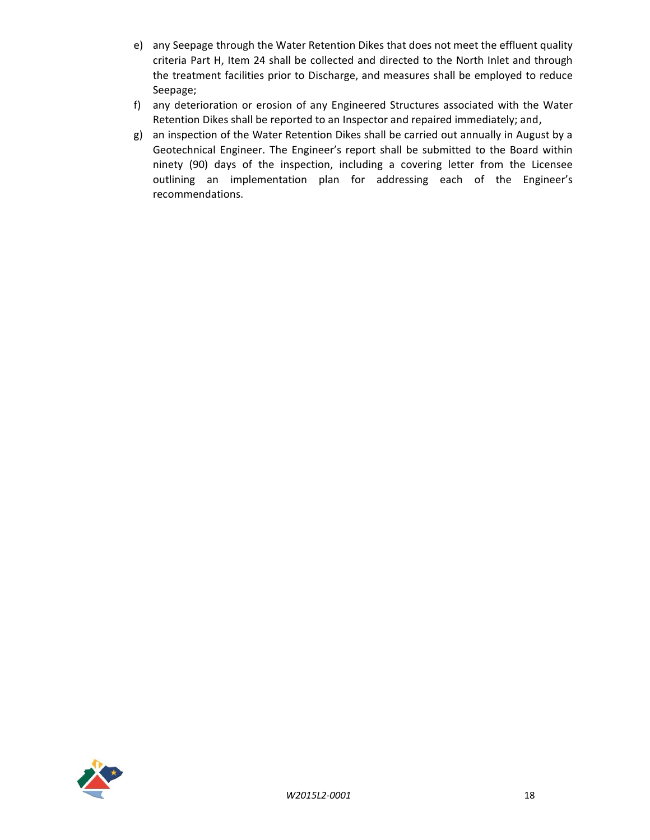- e) any Seepage through the Water Retention Dikes that does not meet the effluent quality criteria Part H, Item 24 shall be collected and directed to the North Inlet and through the treatment facilities prior to Discharge, and measures shall be employed to reduce Seepage;
- f) any deterioration or erosion of any Engineered Structures associated with the Water Retention Dikes shall be reported to an Inspector and repaired immediately; and,
- g) an inspection of the Water Retention Dikes shall be carried out annually in August by a Geotechnical Engineer. The Engineer's report shall be submitted to the Board within ninety (90) days of the inspection, including a covering letter from the Licensee outlining an implementation plan for addressing each of the Engineer's recommendations.

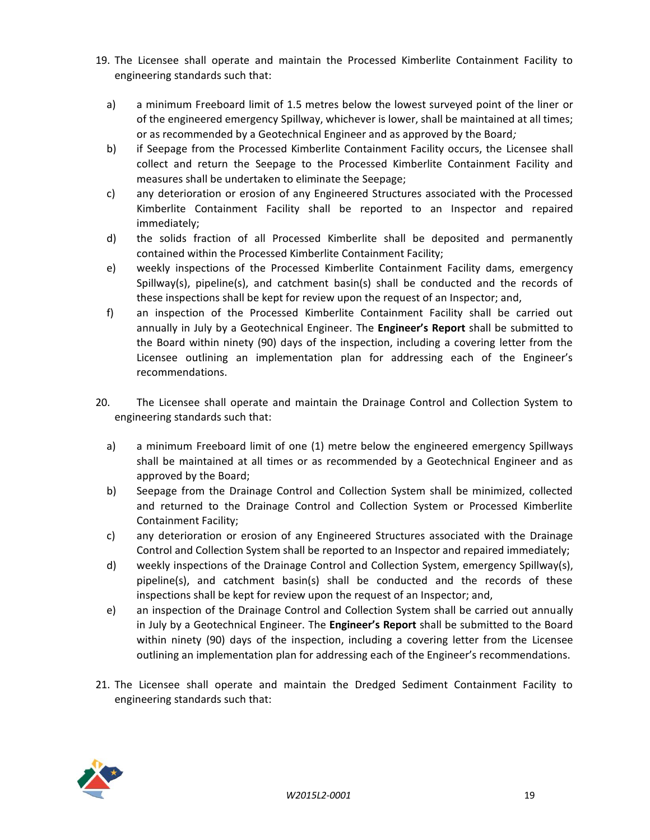- 19. The Licensee shall operate and maintain the Processed Kimberlite Containment Facility to engineering standards such that:
	- a) a minimum Freeboard limit of 1.5 metres below the lowest surveyed point of the liner or of the engineered emergency Spillway, whichever is lower, shall be maintained at all times; or as recommended by a Geotechnical Engineer and as approved by the Board*;*
	- b) if Seepage from the Processed Kimberlite Containment Facility occurs, the Licensee shall collect and return the Seepage to the Processed Kimberlite Containment Facility and measures shall be undertaken to eliminate the Seepage;
	- c) any deterioration or erosion of any Engineered Structures associated with the Processed Kimberlite Containment Facility shall be reported to an Inspector and repaired immediately;
	- d) the solids fraction of all Processed Kimberlite shall be deposited and permanently contained within the Processed Kimberlite Containment Facility;
	- e) weekly inspections of the Processed Kimberlite Containment Facility dams, emergency  $Spillway(s)$ , pipeline(s), and catchment basin(s) shall be conducted and the records of these inspections shall be kept for review upon the request of an Inspector; and,
	- f) an inspection of the Processed Kimberlite Containment Facility shall be carried out annually in July by a Geotechnical Engineer. The **Engineer's Report** shall be submitted to the Board within ninety (90) days of the inspection, including a covering letter from the Licensee outlining an implementation plan for addressing each of the Engineer's recommendations.
- 20. The Licensee shall operate and maintain the Drainage Control and Collection System to engineering standards such that:
	- a) a minimum Freeboard limit of one (1) metre below the engineered emergency Spillways shall be maintained at all times or as recommended by a Geotechnical Engineer and as approved by the Board;
	- b) Seepage from the Drainage Control and Collection System shall be minimized, collected and returned to the Drainage Control and Collection System or Processed Kimberlite Containment Facility;
	- c) any deterioration or erosion of any Engineered Structures associated with the Drainage Control and Collection System shall be reported to an Inspector and repaired immediately;
	- d) weekly inspections of the Drainage Control and Collection System, emergency Spillway(s), pipeline(s), and catchment basin(s) shall be conducted and the records of these inspections shall be kept for review upon the request of an Inspector; and,
	- e) an inspection of the Drainage Control and Collection System shall be carried out annually in July by a Geotechnical Engineer. The **Engineer's Report** shall be submitted to the Board within ninety (90) days of the inspection, including a covering letter from the Licensee outlining an implementation plan for addressing each of the Engineer's recommendations.
- 21. The Licensee shall operate and maintain the Dredged Sediment Containment Facility to engineering standards such that:

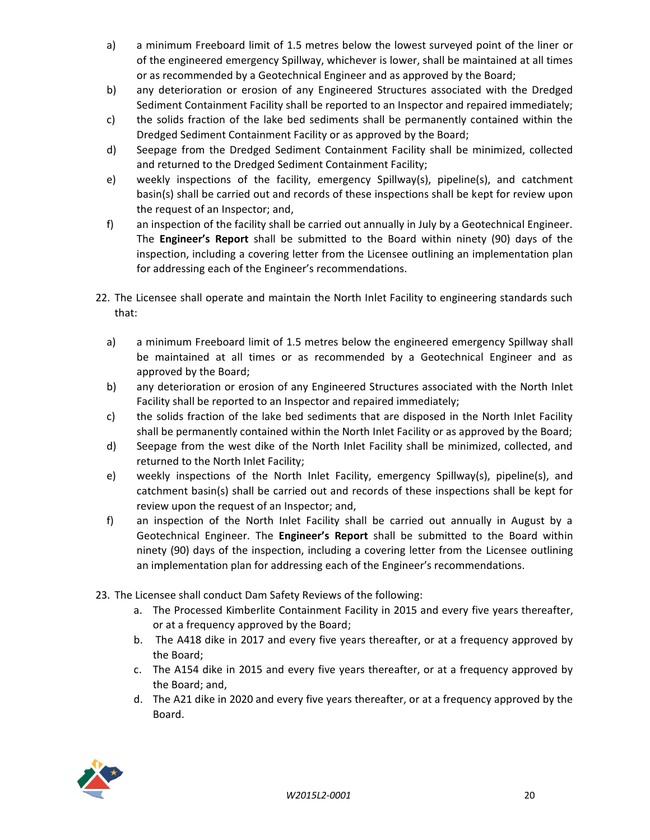- a) a minimum Freeboard limit of 1.5 metres below the lowest surveyed point of the liner or of the engineered emergency Spillway, whichever is lower, shall be maintained at all times or as recommended by a Geotechnical Engineer and as approved by the Board;
- b) any deterioration or erosion of any Engineered Structures associated with the Dredged Sediment Containment Facility shall be reported to an Inspector and repaired immediately;
- c) the solids fraction of the lake bed sediments shall be permanently contained within the Dredged Sediment Containment Facility or as approved by the Board;
- d) Seepage from the Dredged Sediment Containment Facility shall be minimized, collected and returned to the Dredged Sediment Containment Facility;
- e) weekly inspections of the facility, emergency Spillway(s), pipeline(s), and catchment basin(s) shall be carried out and records of these inspections shall be kept for review upon the request of an Inspector; and,
- f) an inspection of the facility shall be carried out annually in July by a Geotechnical Engineer. The **Engineer's Report** shall be submitted to the Board within ninety (90) days of the inspection, including a covering letter from the Licensee outlining an implementation plan for addressing each of the Engineer's recommendations.
- 22. The Licensee shall operate and maintain the North Inlet Facility to engineering standards such that:
	- a) a minimum Freeboard limit of 1.5 metres below the engineered emergency Spillway shall be maintained at all times or as recommended by a Geotechnical Engineer and as approved by the Board;
	- b) any deterioration or erosion of any Engineered Structures associated with the North Inlet Facility shall be reported to an Inspector and repaired immediately;
	- c) the solids fraction of the lake bed sediments that are disposed in the North Inlet Facility shall be permanently contained within the North Inlet Facility or as approved by the Board;
	- d) Seepage from the west dike of the North Inlet Facility shall be minimized, collected, and returned to the North Inlet Facility;
	- e) weekly inspections of the North Inlet Facility, emergency Spillway(s), pipeline(s), and catchment basin(s) shall be carried out and records of these inspections shall be kept for review upon the request of an Inspector; and,
	- f) an inspection of the North Inlet Facility shall be carried out annually in August by a Geotechnical Engineer. The **Engineer's Report** shall be submitted to the Board within ninety (90) days of the inspection, including a covering letter from the Licensee outlining an implementation plan for addressing each of the Engineer's recommendations.
- 23. The Licensee shall conduct Dam Safety Reviews of the following:
	- a. The Processed Kimberlite Containment Facility in 2015 and every five years thereafter, or at a frequency approved by the Board;
	- b. The A418 dike in 2017 and every five years thereafter, or at a frequency approved by the Board;
	- c. The A154 dike in 2015 and every five years thereafter, or at a frequency approved by the Board; and,
	- d. The A21 dike in 2020 and every five years thereafter, or at a frequency approved by the Board.

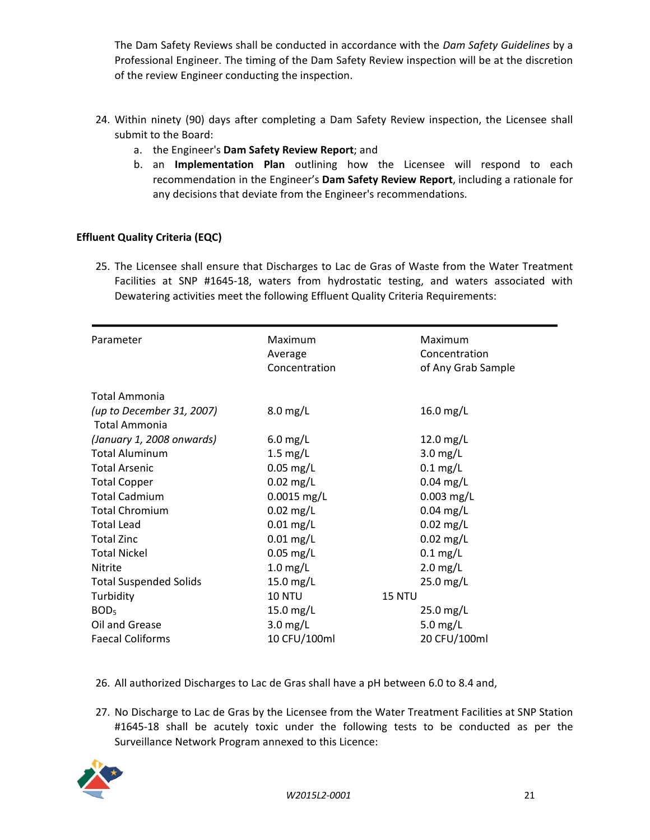The Dam Safety Reviews shall be conducted in accordance with the *Dam Safety Guidelines* by a Professional Engineer. The timing of the Dam Safety Review inspection will be at the discretion of the review Engineer conducting the inspection.

- 24. Within ninety (90) days after completing a Dam Safety Review inspection, the Licensee shall submit to the Board:
	- a. the Engineer's **Dam Safety Review Report**; and
	- b. an **Implementation Plan** outlining how the Licensee will respond to each recommendation in the Engineer's **Dam Safety Review Report**, including a rationale for any decisions that deviate from the Engineer's recommendations.

# **Effluent Quality Criteria (EQC)**

25. The Licensee shall ensure that Discharges to Lac de Gras of Waste from the Water Treatment Facilities at SNP #1645-18, waters from hydrostatic testing, and waters associated with Dewatering activities meet the following Effluent Quality Criteria Requirements:

| Parameter                     | Maximum<br>Average | Maximum<br>Concentration |
|-------------------------------|--------------------|--------------------------|
|                               | Concentration      | of Any Grab Sample       |
| Total Ammonia                 |                    |                          |
| (up to December 31, 2007)     | $8.0$ mg/L         | 16.0 mg/L                |
| Total Ammonia                 |                    |                          |
| (January 1, 2008 onwards)     | $6.0$ mg/L         | 12.0 mg/L                |
| <b>Total Aluminum</b>         | $1.5$ mg/L         | $3.0$ mg/L               |
| <b>Total Arsenic</b>          | $0.05$ mg/L        | $0.1$ mg/L               |
| <b>Total Copper</b>           | $0.02$ mg/L        | $0.04$ mg/L              |
| <b>Total Cadmium</b>          | $0.0015$ mg/L      | $0.003$ mg/L             |
| <b>Total Chromium</b>         | $0.02$ mg/L        | $0.04$ mg/L              |
| <b>Total Lead</b>             | $0.01$ mg/L        | $0.02$ mg/L              |
| <b>Total Zinc</b>             | $0.01$ mg/L        | $0.02$ mg/L              |
| <b>Total Nickel</b>           | $0.05$ mg/L        | $0.1$ mg/L               |
| <b>Nitrite</b>                | $1.0$ mg/L         | $2.0$ mg/L               |
| <b>Total Suspended Solids</b> | 15.0 mg/L          | $25.0$ mg/L              |
| Turbidity                     | <b>10 NTU</b>      | 15 NTU                   |
| BOD <sub>5</sub>              | 15.0 mg/L          | 25.0 mg/L                |
| Oil and Grease                | $3.0$ mg/L         | 5.0 $mg/L$               |
| <b>Faecal Coliforms</b>       | 10 CFU/100ml       | 20 CFU/100ml             |

- 26. All authorized Discharges to Lac de Gras shall have a pH between 6.0 to 8.4 and,
- 27. No Discharge to Lac de Gras by the Licensee from the Water Treatment Facilities at SNP Station #1645-18 shall be acutely toxic under the following tests to be conducted as per the Surveillance Network Program annexed to this Licence:

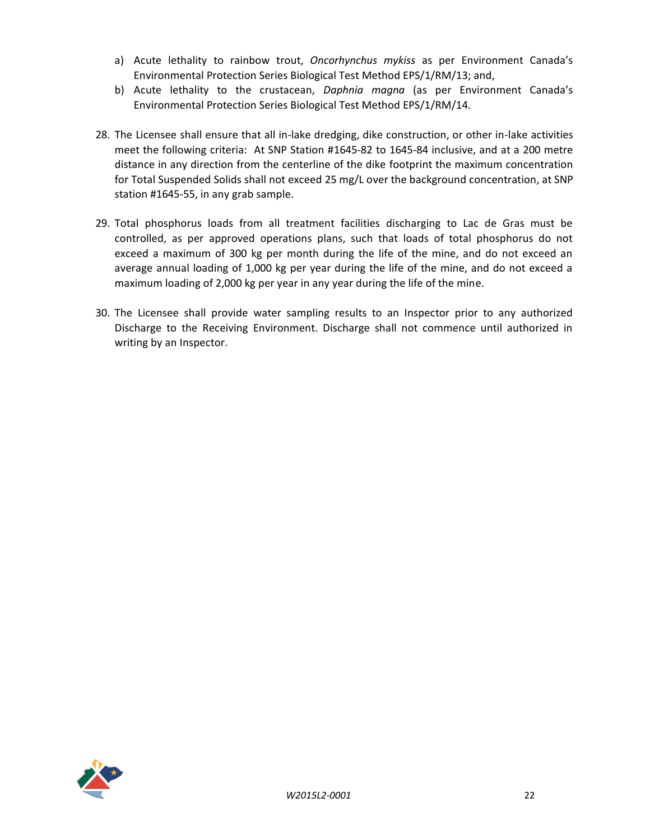- a) Acute lethality to rainbow trout, *Oncorhynchus mykiss* as per Environment Canada's Environmental Protection Series Biological Test Method EPS/1/RM/13; and,
- b) Acute lethality to the crustacean, *Daphnia magna* (as per Environment Canada's Environmental Protection Series Biological Test Method EPS/1/RM/14.
- 28. The Licensee shall ensure that all in-lake dredging, dike construction, or other in-lake activities meet the following criteria: At SNP Station #1645-82 to 1645-84 inclusive, and at a 200 metre distance in any direction from the centerline of the dike footprint the maximum concentration for Total Suspended Solids shall not exceed 25 mg/L over the background concentration, at SNP station #1645-55, in any grab sample.
- 29. Total phosphorus loads from all treatment facilities discharging to Lac de Gras must be controlled, as per approved operations plans, such that loads of total phosphorus do not exceed a maximum of 300 kg per month during the life of the mine, and do not exceed an average annual loading of 1,000 kg per year during the life of the mine, and do not exceed a maximum loading of 2,000 kg per year in any year during the life of the mine.
- 30. The Licensee shall provide water sampling results to an Inspector prior to any authorized Discharge to the Receiving Environment. Discharge shall not commence until authorized in writing by an Inspector.

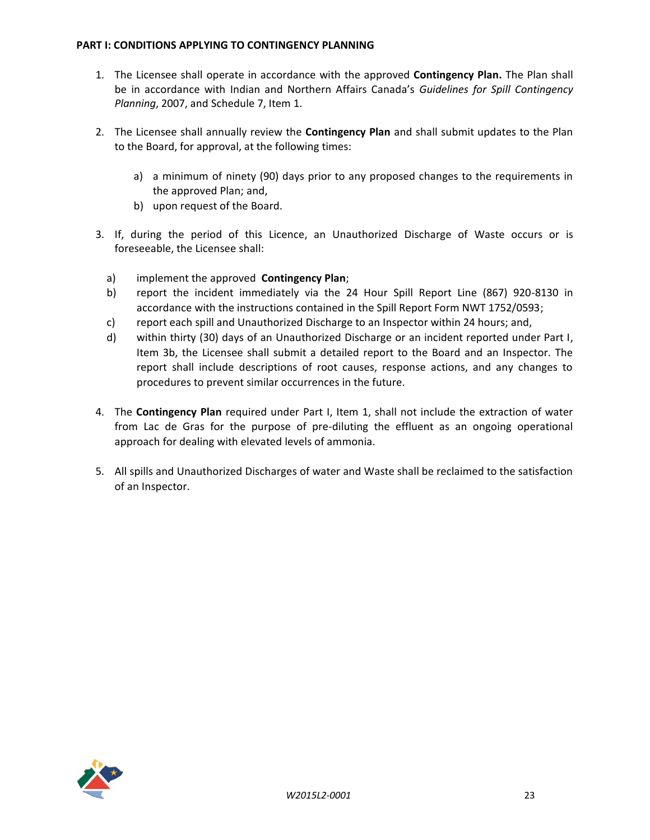#### <span id="page-22-0"></span>**PART I: CONDITIONS APPLYING TO CONTINGENCY PLANNING**

- 1. The Licensee shall operate in accordance with the approved **Contingency Plan.** The Plan shall be in accordance with Indian and Northern Affairs Canada's *Guidelines for Spill Contingency Planning*, 2007, and Schedule 7, Item 1.
- 2. The Licensee shall annually review the **Contingency Plan** and shall submit updates to the Plan to the Board, for approval, at the following times:
	- a) a minimum of ninety (90) days prior to any proposed changes to the requirements in the approved Plan; and,
	- b) upon request of the Board.
- 3. If, during the period of this Licence, an Unauthorized Discharge of Waste occurs or is foreseeable, the Licensee shall:
	- a) implement the approved **Contingency Plan**;
	- b) report the incident immediately via the 24 Hour Spill Report Line (867) 920-8130 in accordance with the instructions contained in the Spill Report Form NWT 1752/0593;
	- c) report each spill and Unauthorized Discharge to an Inspector within 24 hours; and,
	- d) within thirty (30) days of an Unauthorized Discharge or an incident reported under Part I, Item 3b, the Licensee shall submit a detailed report to the Board and an Inspector. The report shall include descriptions of root causes, response actions, and any changes to procedures to prevent similar occurrences in the future.
- 4. The **Contingency Plan** required under Part I, Item 1, shall not include the extraction of water from Lac de Gras for the purpose of pre-diluting the effluent as an ongoing operational approach for dealing with elevated levels of ammonia.
- 5. All spills and Unauthorized Discharges of water and Waste shall be reclaimed to the satisfaction of an Inspector.

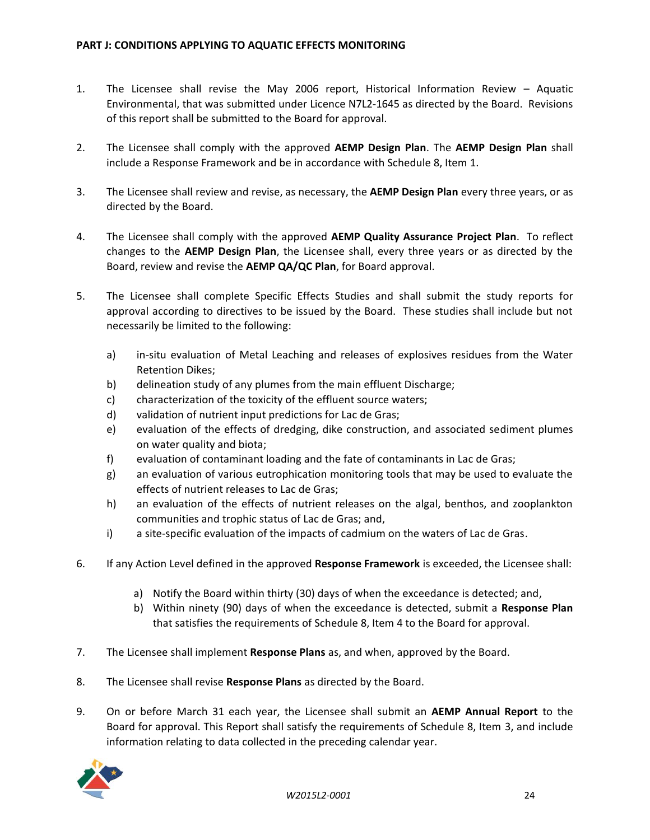- <span id="page-23-0"></span>1. The Licensee shall revise the May 2006 report, Historical Information Review – Aquatic Environmental, that was submitted under Licence N7L2-1645 as directed by the Board. Revisions of this report shall be submitted to the Board for approval.
- 2. The Licensee shall comply with the approved **AEMP Design Plan**. The **AEMP Design Plan** shall include a Response Framework and be in accordance with Schedule 8, Item 1.
- 3. The Licensee shall review and revise, as necessary, the **AEMP Design Plan** every three years, or as directed by the Board.
- 4. The Licensee shall comply with the approved **AEMP Quality Assurance Project Plan**. To reflect changes to the **AEMP Design Plan**, the Licensee shall, every three years or as directed by the Board, review and revise the **AEMP QA/QC Plan**, for Board approval.
- 5. The Licensee shall complete Specific Effects Studies and shall submit the study reports for approval according to directives to be issued by the Board. These studies shall include but not necessarily be limited to the following:
	- a) in-situ evaluation of Metal Leaching and releases of explosives residues from the Water Retention Dikes;
	- b) delineation study of any plumes from the main effluent Discharge;
	- c) characterization of the toxicity of the effluent source waters;
	- d) validation of nutrient input predictions for Lac de Gras;
	- e) evaluation of the effects of dredging, dike construction, and associated sediment plumes on water quality and biota;
	- f) evaluation of contaminant loading and the fate of contaminants in Lac de Gras;
	- g) an evaluation of various eutrophication monitoring tools that may be used to evaluate the effects of nutrient releases to Lac de Gras;
	- h) an evaluation of the effects of nutrient releases on the algal, benthos, and zooplankton communities and trophic status of Lac de Gras; and,
	- i) a site-specific evaluation of the impacts of cadmium on the waters of Lac de Gras.
- 6. If any Action Level defined in the approved **Response Framework** is exceeded, the Licensee shall:
	- a) Notify the Board within thirty (30) days of when the exceedance is detected; and,
	- b) Within ninety (90) days of when the exceedance is detected, submit a **Response Plan** that satisfies the requirements of Schedule 8, Item 4 to the Board for approval.
- 7. The Licensee shall implement **Response Plans** as, and when, approved by the Board.
- 8. The Licensee shall revise **Response Plans** as directed by the Board.
- 9. On or before March 31 each year, the Licensee shall submit an **AEMP Annual Report** to the Board for approval. This Report shall satisfy the requirements of Schedule 8, Item 3, and include information relating to data collected in the preceding calendar year.

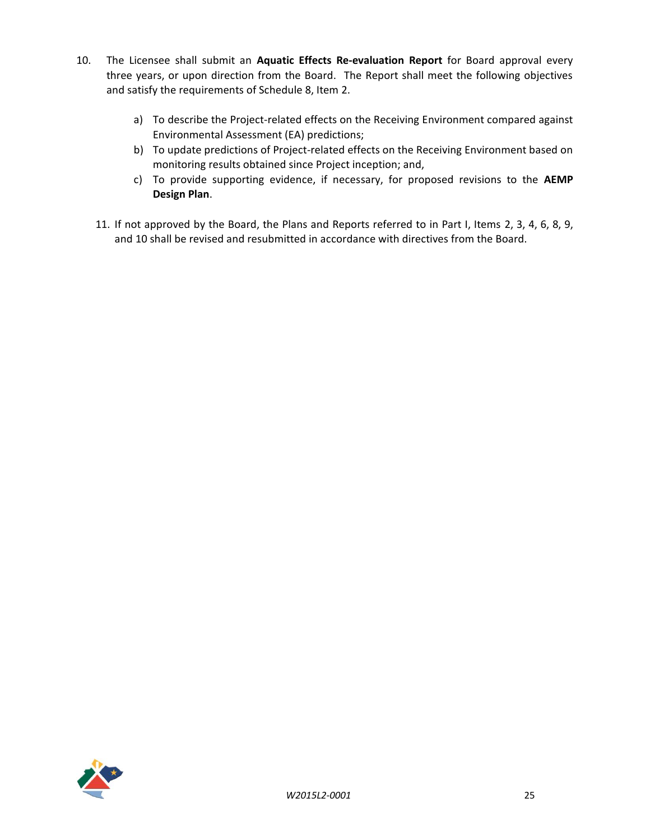- 10. The Licensee shall submit an **Aquatic Effects Re-evaluation Report** for Board approval every three years, or upon direction from the Board. The Report shall meet the following objectives and satisfy the requirements of Schedule 8, Item 2.
	- a) To describe the Project-related effects on the Receiving Environment compared against Environmental Assessment (EA) predictions;
	- b) To update predictions of Project-related effects on the Receiving Environment based on monitoring results obtained since Project inception; and,
	- c) To provide supporting evidence, if necessary, for proposed revisions to the **AEMP Design Plan**.
	- 11. If not approved by the Board, the Plans and Reports referred to in Part I, Items 2, 3, 4, 6, 8, 9, and 10 shall be revised and resubmitted in accordance with directives from the Board.

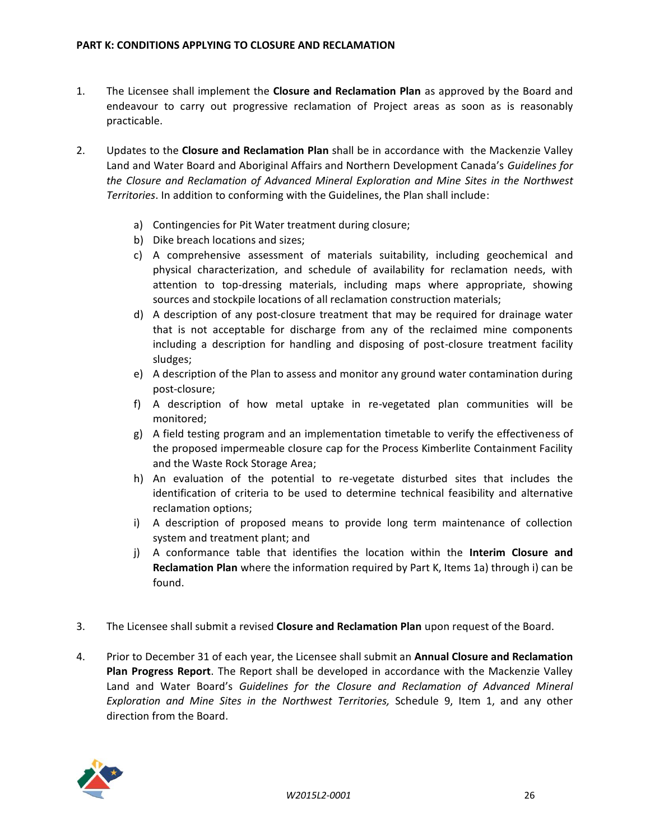- <span id="page-25-0"></span>1. The Licensee shall implement the **Closure and Reclamation Plan** as approved by the Board and endeavour to carry out progressive reclamation of Project areas as soon as is reasonably practicable.
- 2. Updates to the **Closure and Reclamation Plan** shall be in accordance with the Mackenzie Valley Land and Water Board and Aboriginal Affairs and Northern Development Canada's *Guidelines for the Closure and Reclamation of Advanced Mineral Exploration and Mine Sites in the Northwest Territories*. In addition to conforming with the Guidelines, the Plan shall include:
	- a) Contingencies for Pit Water treatment during closure;
	- b) Dike breach locations and sizes;
	- c) A comprehensive assessment of materials suitability, including geochemical and physical characterization, and schedule of availability for reclamation needs, with attention to top-dressing materials, including maps where appropriate, showing sources and stockpile locations of all reclamation construction materials;
	- d) A description of any post-closure treatment that may be required for drainage water that is not acceptable for discharge from any of the reclaimed mine components including a description for handling and disposing of post-closure treatment facility sludges;
	- e) A description of the Plan to assess and monitor any ground water contamination during post-closure;
	- f) A description of how metal uptake in re-vegetated plan communities will be monitored;
	- g) A field testing program and an implementation timetable to verify the effectiveness of the proposed impermeable closure cap for the Process Kimberlite Containment Facility and the Waste Rock Storage Area;
	- h) An evaluation of the potential to re-vegetate disturbed sites that includes the identification of criteria to be used to determine technical feasibility and alternative reclamation options;
	- i) A description of proposed means to provide long term maintenance of collection system and treatment plant; and
	- j) A conformance table that identifies the location within the **Interim Closure and Reclamation Plan** where the information required by Part K, Items 1a) through i) can be found.
- 3. The Licensee shall submit a revised **Closure and Reclamation Plan** upon request of the Board.
- 4. Prior to December 31 of each year, the Licensee shall submit an **Annual Closure and Reclamation Plan Progress Report**. The Report shall be developed in accordance with the Mackenzie Valley Land and Water Board's *Guidelines for the Closure and Reclamation of Advanced Mineral Exploration and Mine Sites in the Northwest Territories,* Schedule 9, Item 1, and any other direction from the Board.

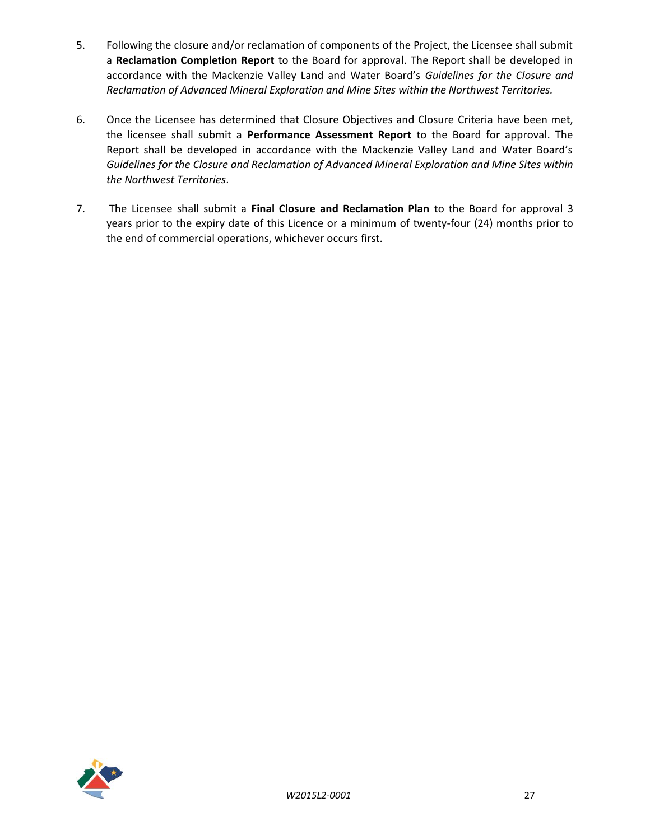- 5. Following the closure and/or reclamation of components of the Project, the Licensee shall submit a **Reclamation Completion Report** to the Board for approval. The Report shall be developed in accordance with the Mackenzie Valley Land and Water Board's *Guidelines for the Closure and Reclamation of Advanced Mineral Exploration and Mine Sites within the Northwest Territories.*
- 6. Once the Licensee has determined that Closure Objectives and Closure Criteria have been met, the licensee shall submit a **Performance Assessment Report** to the Board for approval. The Report shall be developed in accordance with the Mackenzie Valley Land and Water Board's *Guidelines for the Closure and Reclamation of Advanced Mineral Exploration and Mine Sites within the Northwest Territories*.
- 7. The Licensee shall submit a **Final Closure and Reclamation Plan** to the Board for approval 3 years prior to the expiry date of this Licence or a minimum of twenty-four (24) months prior to the end of commercial operations, whichever occurs first.

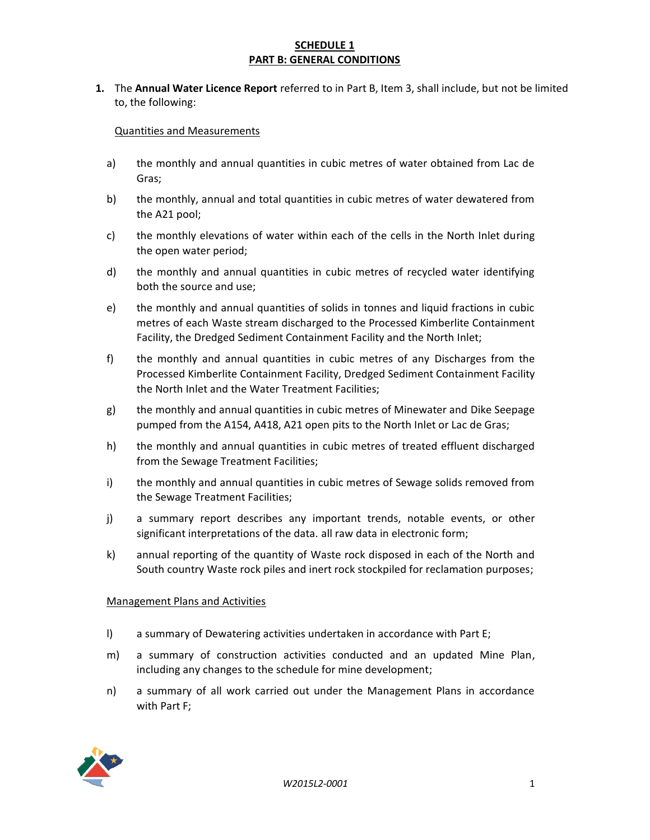## **SCHEDULE 1 PART B: GENERAL CONDITIONS**

**1.** The **Annual Water Licence Report** referred to in Part B, Item 3, shall include, but not be limited to, the following:

## Quantities and Measurements

- a) the monthly and annual quantities in cubic metres of water obtained from Lac de Gras;
- b) the monthly, annual and total quantities in cubic metres of water dewatered from the A21 pool;
- c) the monthly elevations of water within each of the cells in the North Inlet during the open water period;
- d) the monthly and annual quantities in cubic metres of recycled water identifying both the source and use;
- e) the monthly and annual quantities of solids in tonnes and liquid fractions in cubic metres of each Waste stream discharged to the Processed Kimberlite Containment Facility, the Dredged Sediment Containment Facility and the North Inlet;
- f) the monthly and annual quantities in cubic metres of any Discharges from the Processed Kimberlite Containment Facility, Dredged Sediment Containment Facility the North Inlet and the Water Treatment Facilities;
- g) the monthly and annual quantities in cubic metres of Minewater and Dike Seepage pumped from the A154, A418, A21 open pits to the North Inlet or Lac de Gras;
- h) the monthly and annual quantities in cubic metres of treated effluent discharged from the Sewage Treatment Facilities;
- i) the monthly and annual quantities in cubic metres of Sewage solids removed from the Sewage Treatment Facilities;
- j) a summary report describes any important trends, notable events, or other significant interpretations of the data. all raw data in electronic form;
- k) annual reporting of the quantity of Waste rock disposed in each of the North and South country Waste rock piles and inert rock stockpiled for reclamation purposes;

### Management Plans and Activities

- l) a summary of Dewatering activities undertaken in accordance with Part E;
- m) a summary of construction activities conducted and an updated Mine Plan, including any changes to the schedule for mine development;
- n) a summary of all work carried out under the Management Plans in accordance with Part F;

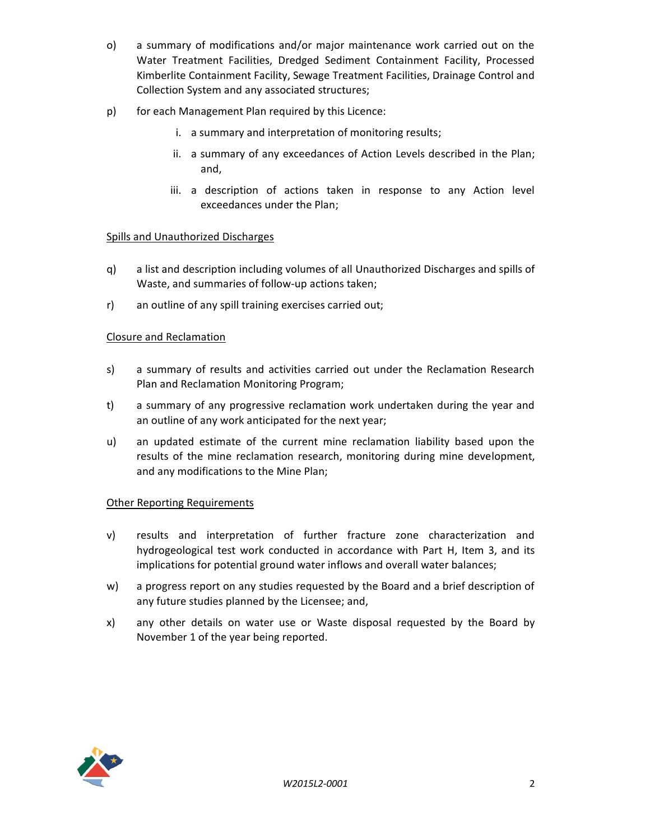- o) a summary of modifications and/or major maintenance work carried out on the Water Treatment Facilities, Dredged Sediment Containment Facility, Processed Kimberlite Containment Facility, Sewage Treatment Facilities, Drainage Control and Collection System and any associated structures;
- p) for each Management Plan required by this Licence:
	- i. a summary and interpretation of monitoring results;
	- ii. a summary of any exceedances of Action Levels described in the Plan; and,
	- iii. a description of actions taken in response to any Action level exceedances under the Plan;

## Spills and Unauthorized Discharges

- q) a list and description including volumes of all Unauthorized Discharges and spills of Waste, and summaries of follow-up actions taken;
- r) an outline of any spill training exercises carried out;

## Closure and Reclamation

- s) a summary of results and activities carried out under the Reclamation Research Plan and Reclamation Monitoring Program;
- t) a summary of any progressive reclamation work undertaken during the year and an outline of any work anticipated for the next year;
- u) an updated estimate of the current mine reclamation liability based upon the results of the mine reclamation research, monitoring during mine development, and any modifications to the Mine Plan;

### Other Reporting Requirements

- v) results and interpretation of further fracture zone characterization and hydrogeological test work conducted in accordance with Part H, Item 3, and its implications for potential ground water inflows and overall water balances;
- w) a progress report on any studies requested by the Board and a brief description of any future studies planned by the Licensee; and,
- x) any other details on water use or Waste disposal requested by the Board by November 1 of the year being reported.

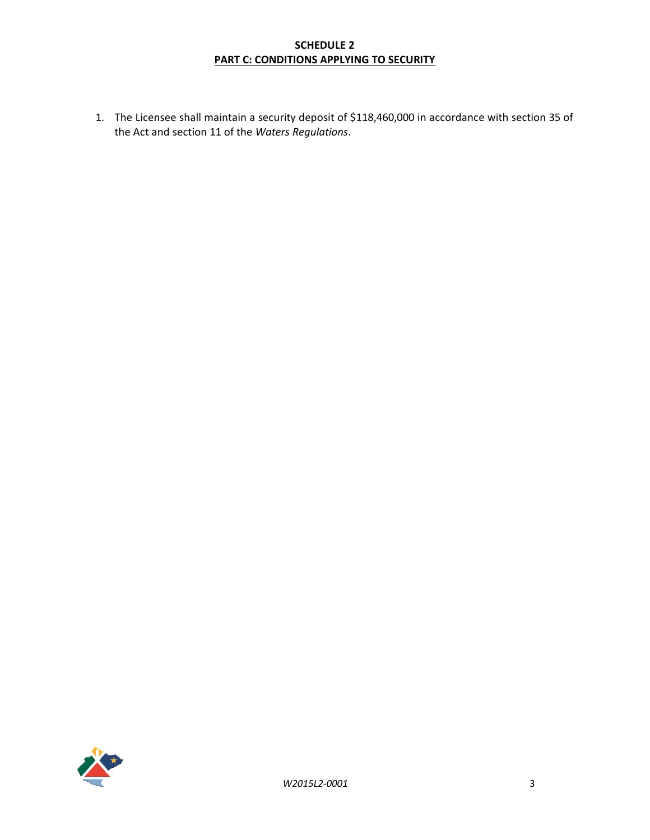# **SCHEDULE 2 PART C: CONDITIONS APPLYING TO SECURITY**

1. The Licensee shall maintain a security deposit of \$118,460,000 in accordance with section 35 of the Act and section 11 of the *Waters Regulations*.

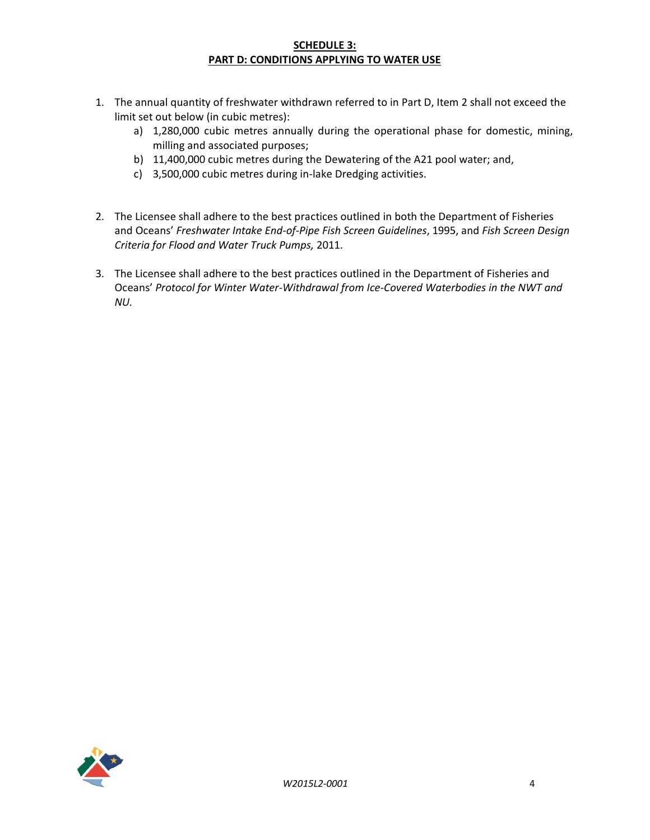### **SCHEDULE 3: PART D: CONDITIONS APPLYING TO WATER USE**

- 1. The annual quantity of freshwater withdrawn referred to in Part D, Item 2 shall not exceed the limit set out below (in cubic metres):
	- a) 1,280,000 cubic metres annually during the operational phase for domestic, mining, milling and associated purposes;
	- b) 11,400,000 cubic metres during the Dewatering of the A21 pool water; and,
	- c) 3,500,000 cubic metres during in-lake Dredging activities.
- 2. The Licensee shall adhere to the best practices outlined in both the Department of Fisheries and Oceans' *Freshwater Intake End-of-Pipe Fish Screen Guidelines*, 1995, and *Fish Screen Design Criteria for Flood and Water Truck Pumps,* 2011.
- 3. The Licensee shall adhere to the best practices outlined in the Department of Fisheries and Oceans' *Protocol for Winter Water-Withdrawal from Ice-Covered Waterbodies in the NWT and NU.*

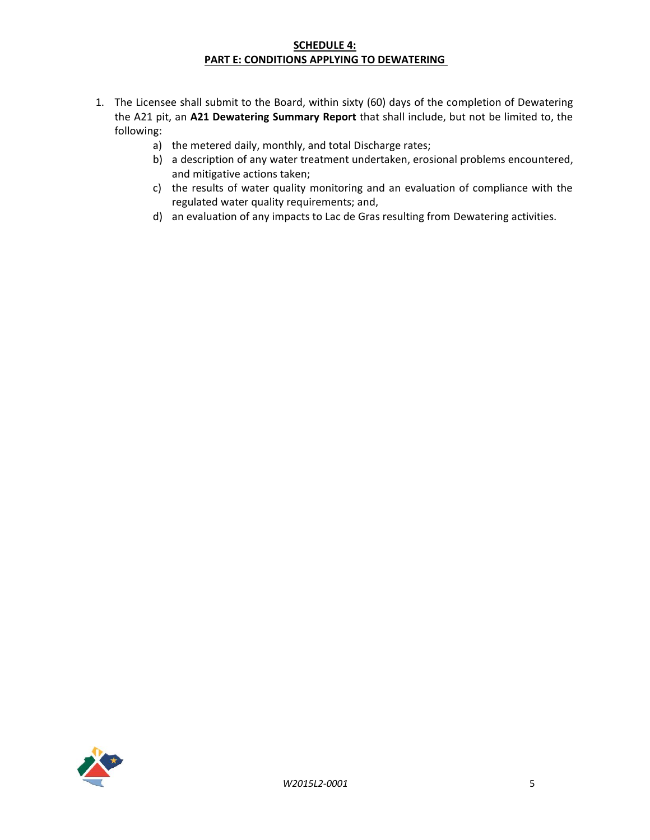### **SCHEDULE 4: PART E: CONDITIONS APPLYING TO DEWATERING**

- 1. The Licensee shall submit to the Board, within sixty (60) days of the completion of Dewatering the A21 pit, an **A21 Dewatering Summary Report** that shall include, but not be limited to, the following:
	- a) the metered daily, monthly, and total Discharge rates;
	- b) a description of any water treatment undertaken, erosional problems encountered, and mitigative actions taken;
	- c) the results of water quality monitoring and an evaluation of compliance with the regulated water quality requirements; and,
	- d) an evaluation of any impacts to Lac de Gras resulting from Dewatering activities.

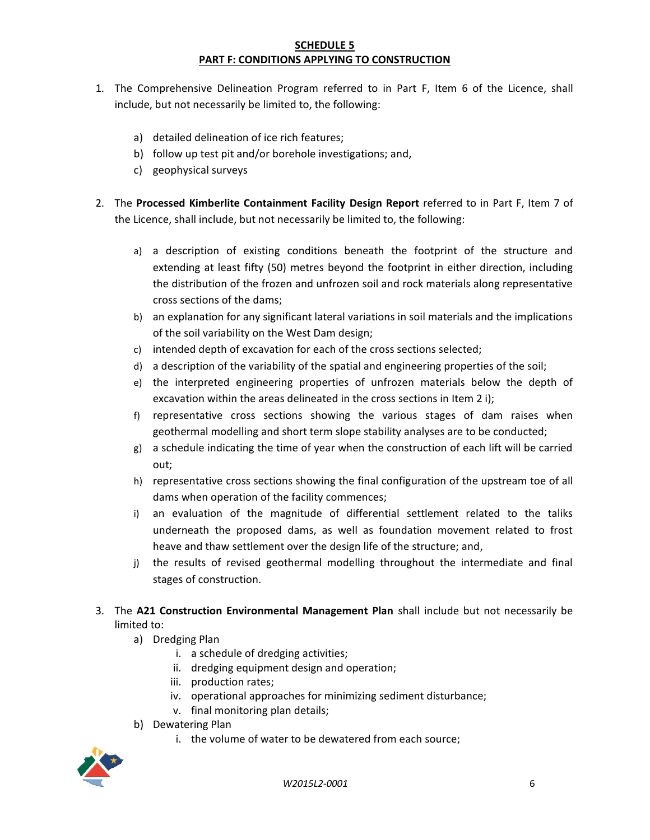### **SCHEDULE 5 PART F: CONDITIONS APPLYING TO CONSTRUCTION**

- 1. The Comprehensive Delineation Program referred to in Part F, Item 6 of the Licence, shall include, but not necessarily be limited to, the following:
	- a) detailed delineation of ice rich features;
	- b) follow up test pit and/or borehole investigations; and,
	- c) geophysical surveys
- 2. The **Processed Kimberlite Containment Facility Design Report** referred to in Part F, Item 7 of the Licence, shall include, but not necessarily be limited to, the following:
	- a) a description of existing conditions beneath the footprint of the structure and extending at least fifty (50) metres beyond the footprint in either direction, including the distribution of the frozen and unfrozen soil and rock materials along representative cross sections of the dams;
	- b) an explanation for any significant lateral variations in soil materials and the implications of the soil variability on the West Dam design;
	- c) intended depth of excavation for each of the cross sections selected;
	- d) a description of the variability of the spatial and engineering properties of the soil;
	- e) the interpreted engineering properties of unfrozen materials below the depth of excavation within the areas delineated in the cross sections in Item 2 i);
	- f) representative cross sections showing the various stages of dam raises when geothermal modelling and short term slope stability analyses are to be conducted;
	- g) a schedule indicating the time of year when the construction of each lift will be carried out;
	- h) representative cross sections showing the final configuration of the upstream toe of all dams when operation of the facility commences;
	- i) an evaluation of the magnitude of differential settlement related to the taliks underneath the proposed dams, as well as foundation movement related to frost heave and thaw settlement over the design life of the structure; and,
	- j) the results of revised geothermal modelling throughout the intermediate and final stages of construction.
- 3. The **A21 Construction Environmental Management Plan** shall include but not necessarily be limited to:
	- a) Dredging Plan
		- i. a schedule of dredging activities;
		- ii. dredging equipment design and operation;
		- iii. production rates;
		- iv. operational approaches for minimizing sediment disturbance;
		- v. final monitoring plan details;
	- b) Dewatering Plan
		- i. the volume of water to be dewatered from each source;

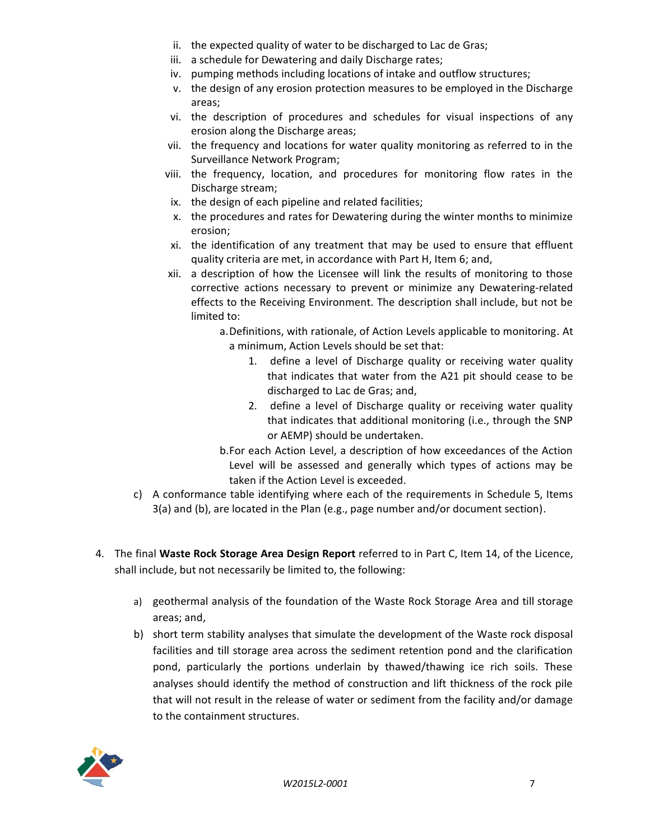- ii. the expected quality of water to be discharged to Lac de Gras;
- iii. a schedule for Dewatering and daily Discharge rates;
- iv. pumping methods including locations of intake and outflow structures;
- v. the design of any erosion protection measures to be employed in the Discharge areas;
- vi. the description of procedures and schedules for visual inspections of any erosion along the Discharge areas;
- vii. the frequency and locations for water quality monitoring as referred to in the Surveillance Network Program;
- viii. the frequency, location, and procedures for monitoring flow rates in the Discharge stream;
- ix. the design of each pipeline and related facilities;
- x. the procedures and rates for Dewatering during the winter months to minimize erosion;
- xi. the identification of any treatment that may be used to ensure that effluent quality criteria are met, in accordance with Part H, Item 6; and,
- xii. a description of how the Licensee will link the results of monitoring to those corrective actions necessary to prevent or minimize any Dewatering-related effects to the Receiving Environment. The description shall include, but not be limited to:
	- a.Definitions, with rationale, of Action Levels applicable to monitoring. At a minimum, Action Levels should be set that:
		- 1. define a level of Discharge quality or receiving water quality that indicates that water from the A21 pit should cease to be discharged to Lac de Gras; and,
		- 2. define a level of Discharge quality or receiving water quality that indicates that additional monitoring (i.e., through the SNP or AEMP) should be undertaken.
	- b.For each Action Level, a description of how exceedances of the Action Level will be assessed and generally which types of actions may be taken if the Action Level is exceeded.
- c) A conformance table identifying where each of the requirements in Schedule 5, Items 3(a) and (b), are located in the Plan (e.g., page number and/or document section).
- 4. The final **Waste Rock Storage Area Design Report** referred to in Part C, Item 14, of the Licence, shall include, but not necessarily be limited to, the following:
	- a) geothermal analysis of the foundation of the Waste Rock Storage Area and till storage areas; and,
	- b) short term stability analyses that simulate the development of the Waste rock disposal facilities and till storage area across the sediment retention pond and the clarification pond, particularly the portions underlain by thawed/thawing ice rich soils. These analyses should identify the method of construction and lift thickness of the rock pile that will not result in the release of water or sediment from the facility and/or damage to the containment structures.

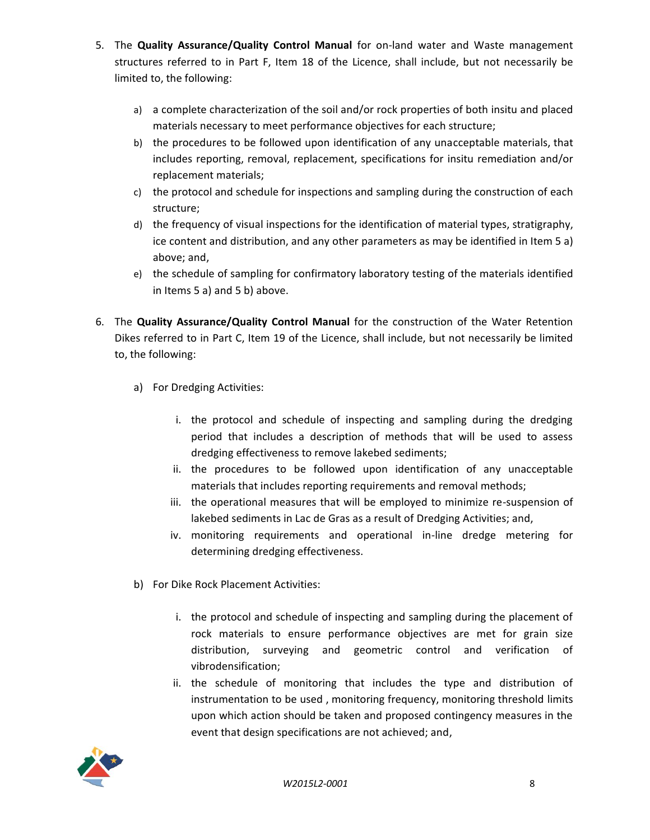- 5. The **Quality Assurance/Quality Control Manual** for on-land water and Waste management structures referred to in Part F, Item 18 of the Licence, shall include, but not necessarily be limited to, the following:
	- a) a complete characterization of the soil and/or rock properties of both insitu and placed materials necessary to meet performance objectives for each structure;
	- b) the procedures to be followed upon identification of any unacceptable materials, that includes reporting, removal, replacement, specifications for insitu remediation and/or replacement materials;
	- c) the protocol and schedule for inspections and sampling during the construction of each structure;
	- d) the frequency of visual inspections for the identification of material types, stratigraphy, ice content and distribution, and any other parameters as may be identified in Item 5 a) above; and,
	- e) the schedule of sampling for confirmatory laboratory testing of the materials identified in Items 5 a) and 5 b) above.
- 6. The **Quality Assurance/Quality Control Manual** for the construction of the Water Retention Dikes referred to in Part C, Item 19 of the Licence, shall include, but not necessarily be limited to, the following:
	- a) For Dredging Activities:
		- i. the protocol and schedule of inspecting and sampling during the dredging period that includes a description of methods that will be used to assess dredging effectiveness to remove lakebed sediments;
		- ii. the procedures to be followed upon identification of any unacceptable materials that includes reporting requirements and removal methods;
		- iii. the operational measures that will be employed to minimize re-suspension of lakebed sediments in Lac de Gras as a result of Dredging Activities; and,
		- iv. monitoring requirements and operational in-line dredge metering for determining dredging effectiveness.
	- b) For Dike Rock Placement Activities:
		- i. the protocol and schedule of inspecting and sampling during the placement of rock materials to ensure performance objectives are met for grain size distribution, surveying and geometric control and verification of vibrodensification;
		- ii. the schedule of monitoring that includes the type and distribution of instrumentation to be used , monitoring frequency, monitoring threshold limits upon which action should be taken and proposed contingency measures in the event that design specifications are not achieved; and,

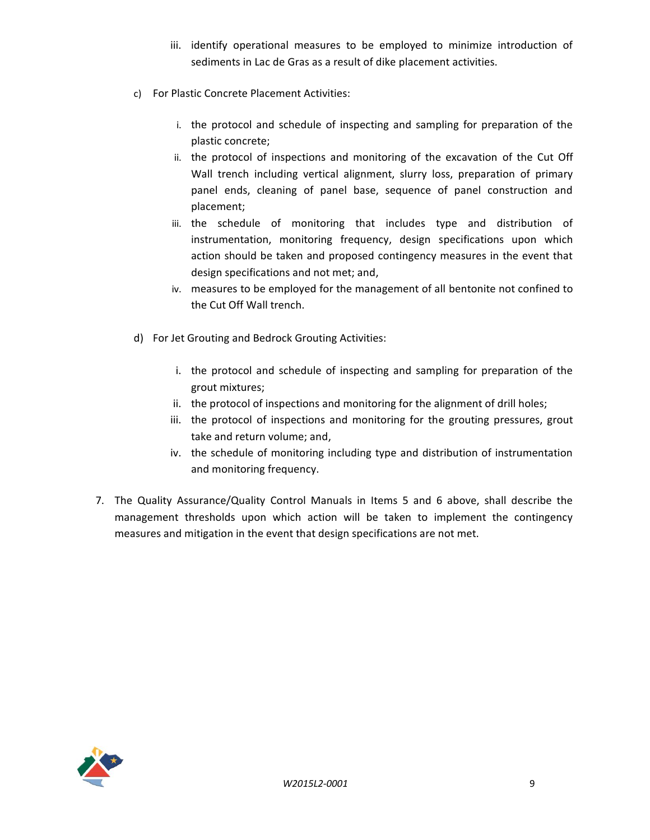- iii. identify operational measures to be employed to minimize introduction of sediments in Lac de Gras as a result of dike placement activities.
- c) For Plastic Concrete Placement Activities:
	- i. the protocol and schedule of inspecting and sampling for preparation of the plastic concrete;
	- ii. the protocol of inspections and monitoring of the excavation of the Cut Off Wall trench including vertical alignment, slurry loss, preparation of primary panel ends, cleaning of panel base, sequence of panel construction and placement;
	- iii. the schedule of monitoring that includes type and distribution of instrumentation, monitoring frequency, design specifications upon which action should be taken and proposed contingency measures in the event that design specifications and not met; and,
	- iv. measures to be employed for the management of all bentonite not confined to the Cut Off Wall trench.
- d) For Jet Grouting and Bedrock Grouting Activities:
	- i. the protocol and schedule of inspecting and sampling for preparation of the grout mixtures;
	- ii. the protocol of inspections and monitoring for the alignment of drill holes;
	- iii. the protocol of inspections and monitoring for the grouting pressures, grout take and return volume; and,
	- iv. the schedule of monitoring including type and distribution of instrumentation and monitoring frequency.
- 7. The Quality Assurance/Quality Control Manuals in Items 5 and 6 above, shall describe the management thresholds upon which action will be taken to implement the contingency measures and mitigation in the event that design specifications are not met.

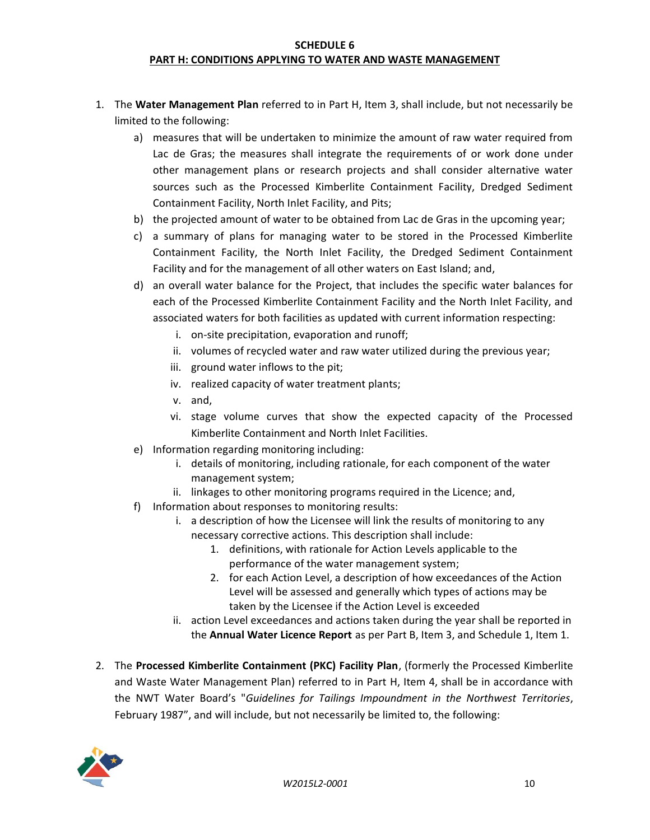### **SCHEDULE 6 PART H: CONDITIONS APPLYING TO WATER AND WASTE MANAGEMENT**

- 1. The **Water Management Plan** referred to in Part H, Item 3, shall include, but not necessarily be limited to the following:
	- a) measures that will be undertaken to minimize the amount of raw water required from Lac de Gras; the measures shall integrate the requirements of or work done under other management plans or research projects and shall consider alternative water sources such as the Processed Kimberlite Containment Facility, Dredged Sediment Containment Facility, North Inlet Facility, and Pits;
	- b) the projected amount of water to be obtained from Lac de Gras in the upcoming year;
	- c) a summary of plans for managing water to be stored in the Processed Kimberlite Containment Facility, the North Inlet Facility, the Dredged Sediment Containment Facility and for the management of all other waters on East Island; and,
	- d) an overall water balance for the Project, that includes the specific water balances for each of the Processed Kimberlite Containment Facility and the North Inlet Facility, and associated waters for both facilities as updated with current information respecting:
		- i. on-site precipitation, evaporation and runoff;
		- ii. volumes of recycled water and raw water utilized during the previous year;
		- iii. ground water inflows to the pit;
		- iv. realized capacity of water treatment plants;
		- v. and,
		- vi. stage volume curves that show the expected capacity of the Processed Kimberlite Containment and North Inlet Facilities.
	- e) Information regarding monitoring including:
		- i. details of monitoring, including rationale, for each component of the water management system;
		- ii. linkages to other monitoring programs required in the Licence; and,
	- f) Information about responses to monitoring results:
		- i. a description of how the Licensee will link the results of monitoring to any necessary corrective actions. This description shall include:
			- 1. definitions, with rationale for Action Levels applicable to the performance of the water management system;
			- 2. for each Action Level, a description of how exceedances of the Action Level will be assessed and generally which types of actions may be taken by the Licensee if the Action Level is exceeded
		- ii. action Level exceedances and actions taken during the year shall be reported in the **Annual Water Licence Report** as per Part B, Item 3, and Schedule 1, Item 1.
- 2. The **Processed Kimberlite Containment (PKC) Facility Plan**, (formerly the Processed Kimberlite and Waste Water Management Plan) referred to in Part H, Item 4, shall be in accordance with the NWT Water Board's "*Guidelines for Tailings Impoundment in the Northwest Territories*, February 1987", and will include, but not necessarily be limited to, the following:

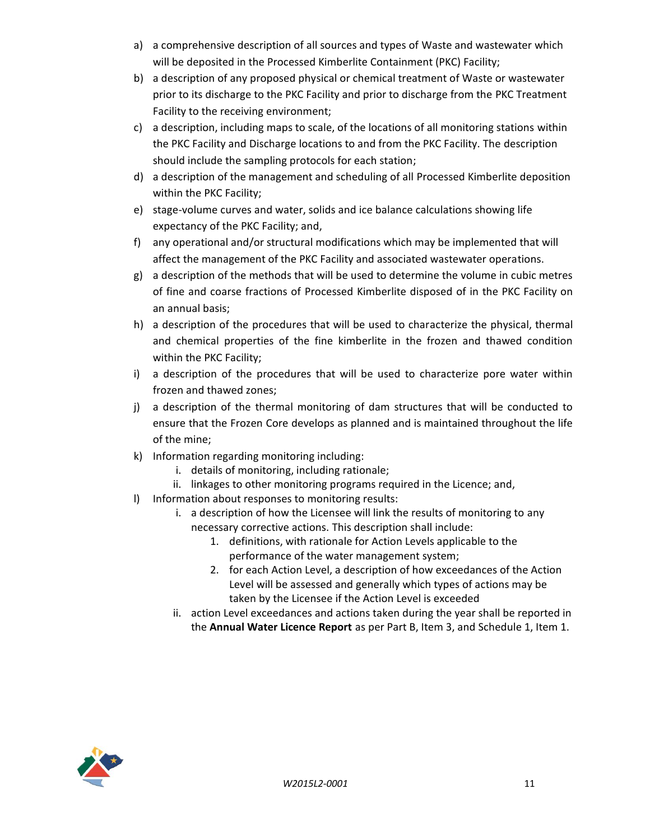- a) a comprehensive description of all sources and types of Waste and wastewater which will be deposited in the Processed Kimberlite Containment (PKC) Facility;
- b) a description of any proposed physical or chemical treatment of Waste or wastewater prior to its discharge to the PKC Facility and prior to discharge from the PKC Treatment Facility to the receiving environment;
- c) a description, including maps to scale, of the locations of all monitoring stations within the PKC Facility and Discharge locations to and from the PKC Facility. The description should include the sampling protocols for each station;
- d) a description of the management and scheduling of all Processed Kimberlite deposition within the PKC Facility;
- e) stage-volume curves and water, solids and ice balance calculations showing life expectancy of the PKC Facility; and,
- f) any operational and/or structural modifications which may be implemented that will affect the management of the PKC Facility and associated wastewater operations.
- g) a description of the methods that will be used to determine the volume in cubic metres of fine and coarse fractions of Processed Kimberlite disposed of in the PKC Facility on an annual basis;
- h) a description of the procedures that will be used to characterize the physical, thermal and chemical properties of the fine kimberlite in the frozen and thawed condition within the PKC Facility;
- i) a description of the procedures that will be used to characterize pore water within frozen and thawed zones;
- j) a description of the thermal monitoring of dam structures that will be conducted to ensure that the Frozen Core develops as planned and is maintained throughout the life of the mine;
- k) Information regarding monitoring including:
	- i. details of monitoring, including rationale;
	- ii. linkages to other monitoring programs required in the Licence; and,
- l) Information about responses to monitoring results:
	- i. a description of how the Licensee will link the results of monitoring to any necessary corrective actions. This description shall include:
		- 1. definitions, with rationale for Action Levels applicable to the performance of the water management system;
		- 2. for each Action Level, a description of how exceedances of the Action Level will be assessed and generally which types of actions may be taken by the Licensee if the Action Level is exceeded
	- ii. action Level exceedances and actions taken during the year shall be reported in the **Annual Water Licence Report** as per Part B, Item 3, and Schedule 1, Item 1.

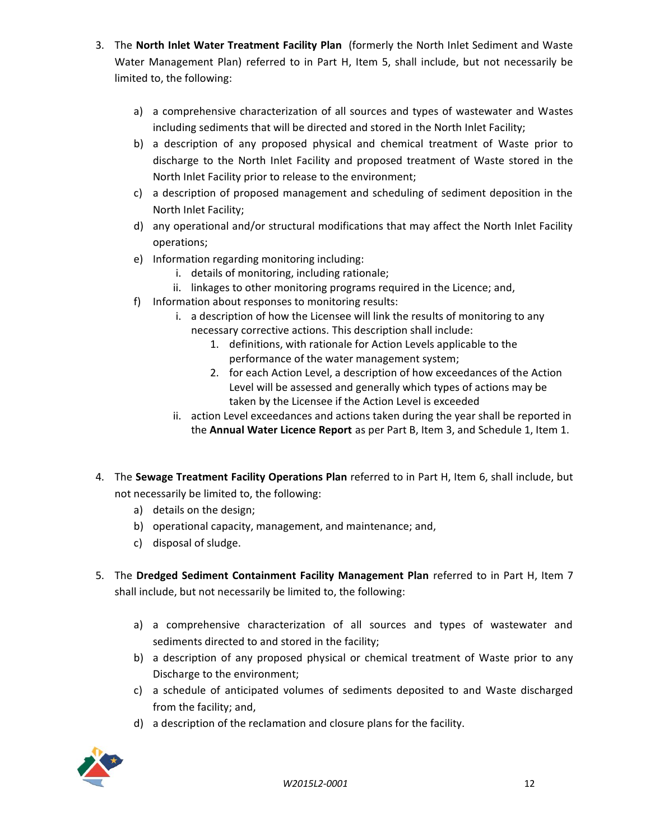- 3. The **North Inlet Water Treatment Facility Plan** (formerly the North Inlet Sediment and Waste Water Management Plan) referred to in Part H, Item 5, shall include, but not necessarily be limited to, the following:
	- a) a comprehensive characterization of all sources and types of wastewater and Wastes including sediments that will be directed and stored in the North Inlet Facility;
	- b) a description of any proposed physical and chemical treatment of Waste prior to discharge to the North Inlet Facility and proposed treatment of Waste stored in the North Inlet Facility prior to release to the environment;
	- c) a description of proposed management and scheduling of sediment deposition in the North Inlet Facility;
	- d) any operational and/or structural modifications that may affect the North Inlet Facility operations;
	- e) Information regarding monitoring including:
		- i. details of monitoring, including rationale;
		- ii. linkages to other monitoring programs required in the Licence; and,
	- f) Information about responses to monitoring results:
		- i. a description of how the Licensee will link the results of monitoring to any necessary corrective actions. This description shall include:
			- 1. definitions, with rationale for Action Levels applicable to the performance of the water management system;
			- 2. for each Action Level, a description of how exceedances of the Action Level will be assessed and generally which types of actions may be taken by the Licensee if the Action Level is exceeded
		- ii. action Level exceedances and actions taken during the year shall be reported in the **Annual Water Licence Report** as per Part B, Item 3, and Schedule 1, Item 1.
- 4. The **Sewage Treatment Facility Operations Plan** referred to in Part H, Item 6, shall include, but not necessarily be limited to, the following:
	- a) details on the design;
	- b) operational capacity, management, and maintenance; and,
	- c) disposal of sludge.
- 5. The **Dredged Sediment Containment Facility Management Plan** referred to in Part H, Item 7 shall include, but not necessarily be limited to, the following:
	- a) a comprehensive characterization of all sources and types of wastewater and sediments directed to and stored in the facility;
	- b) a description of any proposed physical or chemical treatment of Waste prior to any Discharge to the environment;
	- c) a schedule of anticipated volumes of sediments deposited to and Waste discharged from the facility; and,
	- d) a description of the reclamation and closure plans for the facility.

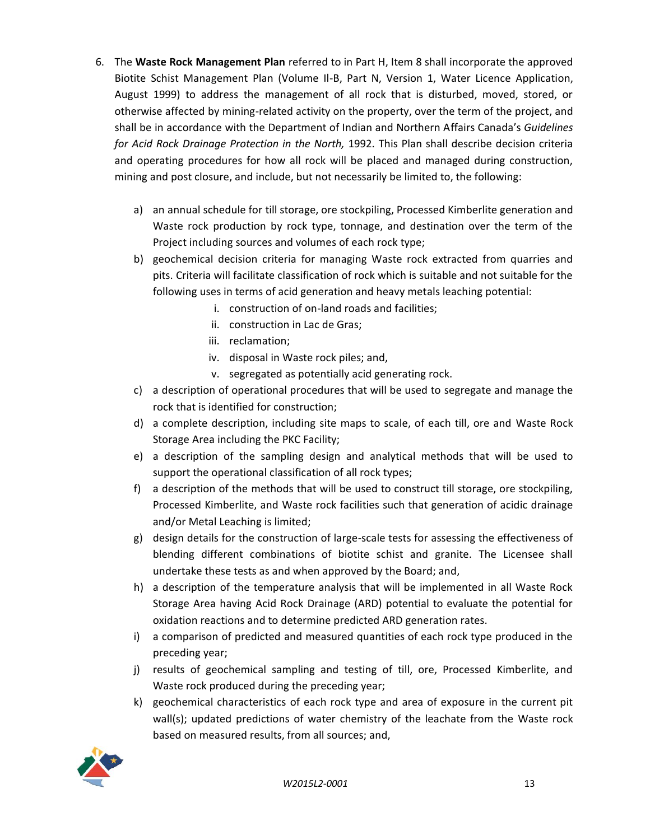- 6. The **Waste Rock Management Plan** referred to in Part H, Item 8 shall incorporate the approved Biotite Schist Management Plan (Volume Il-B, Part N, Version 1, Water Licence Application, August 1999) to address the management of all rock that is disturbed, moved, stored, or otherwise affected by mining-related activity on the property, over the term of the project, and shall be in accordance with the Department of Indian and Northern Affairs Canada's *Guidelines for Acid Rock Drainage Protection in the North,* 1992. This Plan shall describe decision criteria and operating procedures for how all rock will be placed and managed during construction, mining and post closure, and include, but not necessarily be limited to, the following:
	- a) an annual schedule for till storage, ore stockpiling, Processed Kimberlite generation and Waste rock production by rock type, tonnage, and destination over the term of the Project including sources and volumes of each rock type;
	- b) geochemical decision criteria for managing Waste rock extracted from quarries and pits. Criteria will facilitate classification of rock which is suitable and not suitable for the following uses in terms of acid generation and heavy metals leaching potential:
		- i. construction of on-land roads and facilities;
		- ii. construction in Lac de Gras;
		- iii. reclamation;
		- iv. disposal in Waste rock piles; and,
		- v. segregated as potentially acid generating rock.
	- c) a description of operational procedures that will be used to segregate and manage the rock that is identified for construction;
	- d) a complete description, including site maps to scale, of each till, ore and Waste Rock Storage Area including the PKC Facility;
	- e) a description of the sampling design and analytical methods that will be used to support the operational classification of all rock types;
	- f) a description of the methods that will be used to construct till storage, ore stockpiling, Processed Kimberlite, and Waste rock facilities such that generation of acidic drainage and/or Metal Leaching is limited;
	- g) design details for the construction of large-scale tests for assessing the effectiveness of blending different combinations of biotite schist and granite. The Licensee shall undertake these tests as and when approved by the Board; and,
	- h) a description of the temperature analysis that will be implemented in all Waste Rock Storage Area having Acid Rock Drainage (ARD) potential to evaluate the potential for oxidation reactions and to determine predicted ARD generation rates.
	- i) a comparison of predicted and measured quantities of each rock type produced in the preceding year;
	- j) results of geochemical sampling and testing of till, ore, Processed Kimberlite, and Waste rock produced during the preceding year;
	- k) geochemical characteristics of each rock type and area of exposure in the current pit wall(s); updated predictions of water chemistry of the leachate from the Waste rock based on measured results, from all sources; and,

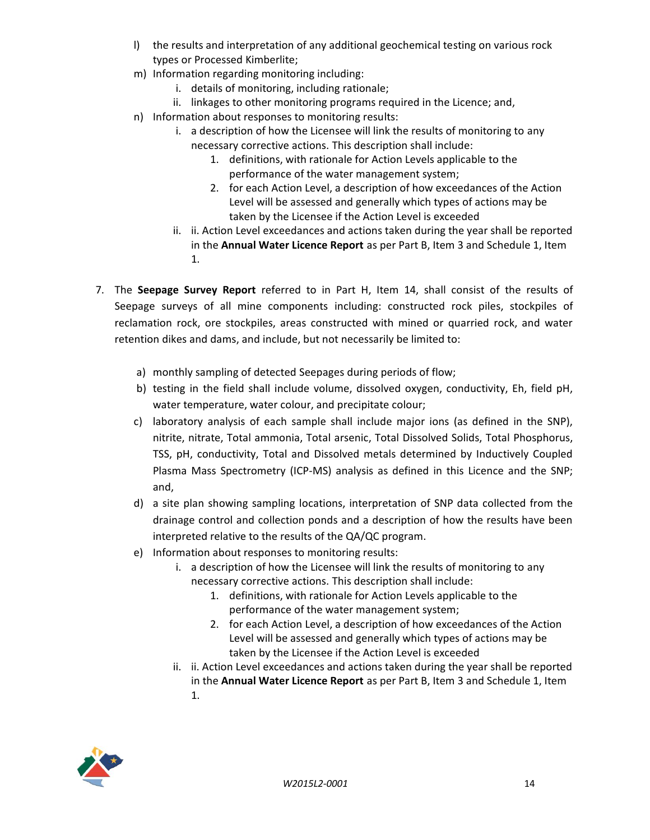- l) the results and interpretation of any additional geochemical testing on various rock types or Processed Kimberlite;
- m) Information regarding monitoring including:
	- i. details of monitoring, including rationale;
	- ii. linkages to other monitoring programs required in the Licence; and,
- n) Information about responses to monitoring results:
	- i. a description of how the Licensee will link the results of monitoring to any necessary corrective actions. This description shall include:
		- 1. definitions, with rationale for Action Levels applicable to the performance of the water management system;
		- 2. for each Action Level, a description of how exceedances of the Action Level will be assessed and generally which types of actions may be taken by the Licensee if the Action Level is exceeded
	- ii. ii. Action Level exceedances and actions taken during the year shall be reported in the **Annual Water Licence Report** as per Part B, Item 3 and Schedule 1, Item 1.
- 7. The **Seepage Survey Report** referred to in Part H, Item 14, shall consist of the results of Seepage surveys of all mine components including: constructed rock piles, stockpiles of reclamation rock, ore stockpiles, areas constructed with mined or quarried rock, and water retention dikes and dams, and include, but not necessarily be limited to:
	- a) monthly sampling of detected Seepages during periods of flow;
	- b) testing in the field shall include volume, dissolved oxygen, conductivity, Eh, field pH, water temperature, water colour, and precipitate colour;
	- c) laboratory analysis of each sample shall include major ions (as defined in the SNP), nitrite, nitrate, Total ammonia, Total arsenic, Total Dissolved Solids, Total Phosphorus, TSS, pH, conductivity, Total and Dissolved metals determined by Inductively Coupled Plasma Mass Spectrometry (ICP-MS) analysis as defined in this Licence and the SNP; and,
	- d) a site plan showing sampling locations, interpretation of SNP data collected from the drainage control and collection ponds and a description of how the results have been interpreted relative to the results of the QA/QC program.
	- e) Information about responses to monitoring results:
		- i. a description of how the Licensee will link the results of monitoring to any necessary corrective actions. This description shall include:
			- 1. definitions, with rationale for Action Levels applicable to the performance of the water management system;
			- 2. for each Action Level, a description of how exceedances of the Action Level will be assessed and generally which types of actions may be taken by the Licensee if the Action Level is exceeded
		- ii. ii. Action Level exceedances and actions taken during the year shall be reported in the **Annual Water Licence Report** as per Part B, Item 3 and Schedule 1, Item
			- 1.

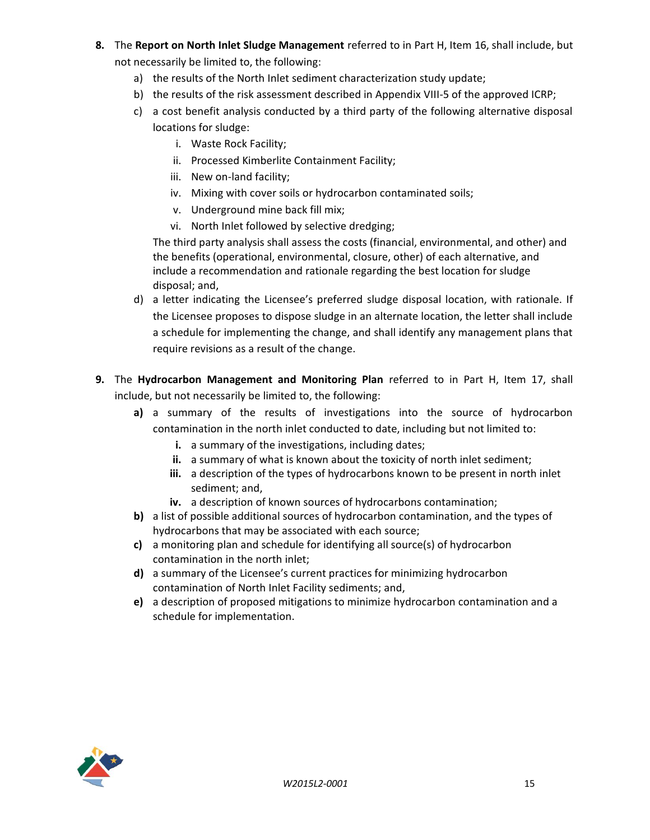- **8.** The **Report on North Inlet Sludge Management** referred to in Part H, Item 16, shall include, but not necessarily be limited to, the following:
	- a) the results of the North Inlet sediment characterization study update;
	- b) the results of the risk assessment described in Appendix VIII-5 of the approved ICRP;
	- c) a cost benefit analysis conducted by a third party of the following alternative disposal locations for sludge:
		- i. Waste Rock Facility;
		- ii. Processed Kimberlite Containment Facility;
		- iii. New on-land facility;
		- iv. Mixing with cover soils or hydrocarbon contaminated soils;
		- v. Underground mine back fill mix;
		- vi. North Inlet followed by selective dredging;

The third party analysis shall assess the costs (financial, environmental, and other) and the benefits (operational, environmental, closure, other) of each alternative, and include a recommendation and rationale regarding the best location for sludge disposal; and,

- d) a letter indicating the Licensee's preferred sludge disposal location, with rationale. If the Licensee proposes to dispose sludge in an alternate location, the letter shall include a schedule for implementing the change, and shall identify any management plans that require revisions as a result of the change.
- **9.** The **Hydrocarbon Management and Monitoring Plan** referred to in Part H, Item 17, shall include, but not necessarily be limited to, the following:
	- **a)** a summary of the results of investigations into the source of hydrocarbon contamination in the north inlet conducted to date, including but not limited to:
		- **i.** a summary of the investigations, including dates;
		- **ii.** a summary of what is known about the toxicity of north inlet sediment;
		- **iii.** a description of the types of hydrocarbons known to be present in north inlet sediment; and,
		- **iv.** a description of known sources of hydrocarbons contamination;
	- **b)** a list of possible additional sources of hydrocarbon contamination, and the types of hydrocarbons that may be associated with each source;
	- **c)** a monitoring plan and schedule for identifying all source(s) of hydrocarbon contamination in the north inlet;
	- **d)** a summary of the Licensee's current practices for minimizing hydrocarbon contamination of North Inlet Facility sediments; and,
	- **e)** a description of proposed mitigations to minimize hydrocarbon contamination and a schedule for implementation.

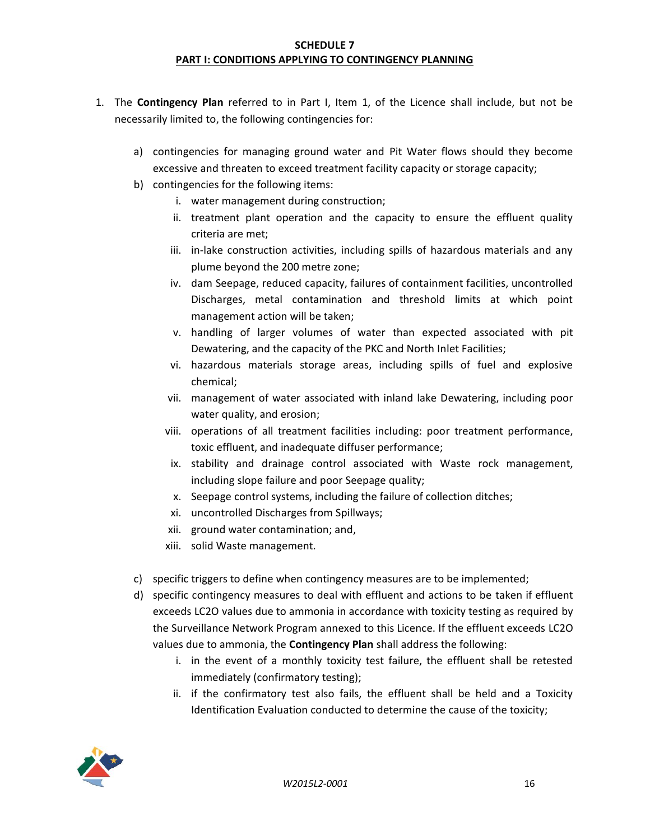### **SCHEDULE 7 PART I: CONDITIONS APPLYING TO CONTINGENCY PLANNING**

- 1. The **Contingency Plan** referred to in Part I, Item 1, of the Licence shall include, but not be necessarily limited to, the following contingencies for:
	- a) contingencies for managing ground water and Pit Water flows should they become excessive and threaten to exceed treatment facility capacity or storage capacity;
	- b) contingencies for the following items:
		- i. water management during construction;
		- ii. treatment plant operation and the capacity to ensure the effluent quality criteria are met;
		- iii. in-lake construction activities, including spills of hazardous materials and any plume beyond the 200 metre zone;
		- iv. dam Seepage, reduced capacity, failures of containment facilities, uncontrolled Discharges, metal contamination and threshold limits at which point management action will be taken;
		- v. handling of larger volumes of water than expected associated with pit Dewatering, and the capacity of the PKC and North Inlet Facilities;
		- vi. hazardous materials storage areas, including spills of fuel and explosive chemical;
		- vii. management of water associated with inland lake Dewatering, including poor water quality, and erosion;
		- viii. operations of all treatment facilities including: poor treatment performance, toxic effluent, and inadequate diffuser performance;
		- ix. stability and drainage control associated with Waste rock management, including slope failure and poor Seepage quality;
		- x. Seepage control systems, including the failure of collection ditches;
		- xi. uncontrolled Discharges from Spillways;
		- xii. ground water contamination; and,
		- xiii. solid Waste management.
	- c) specific triggers to define when contingency measures are to be implemented;
	- d) specific contingency measures to deal with effluent and actions to be taken if effluent exceeds LC2O values due to ammonia in accordance with toxicity testing as required by the Surveillance Network Program annexed to this Licence. If the effluent exceeds LC2O values due to ammonia, the **Contingency Plan** shall address the following:
		- i. in the event of a monthly toxicity test failure, the effluent shall be retested immediately (confirmatory testing);
		- ii. if the confirmatory test also fails, the effluent shall be held and a Toxicity Identification Evaluation conducted to determine the cause of the toxicity;

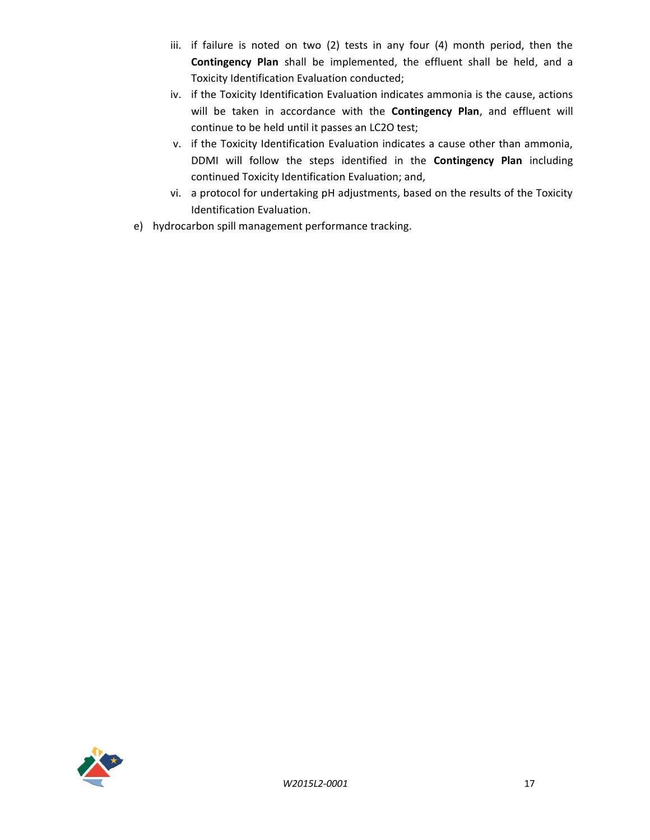- iii. if failure is noted on two (2) tests in any four (4) month period, then the **Contingency Plan** shall be implemented, the effluent shall be held, and a Toxicity Identification Evaluation conducted;
- iv. if the Toxicity Identification Evaluation indicates ammonia is the cause, actions will be taken in accordance with the **Contingency Plan**, and effluent will continue to be held until it passes an LC2O test;
- v. if the Toxicity Identification Evaluation indicates a cause other than ammonia, DDMI will follow the steps identified in the **Contingency Plan** including continued Toxicity Identification Evaluation; and,
- vi. a protocol for undertaking pH adjustments, based on the results of the Toxicity Identification Evaluation.
- e) hydrocarbon spill management performance tracking.

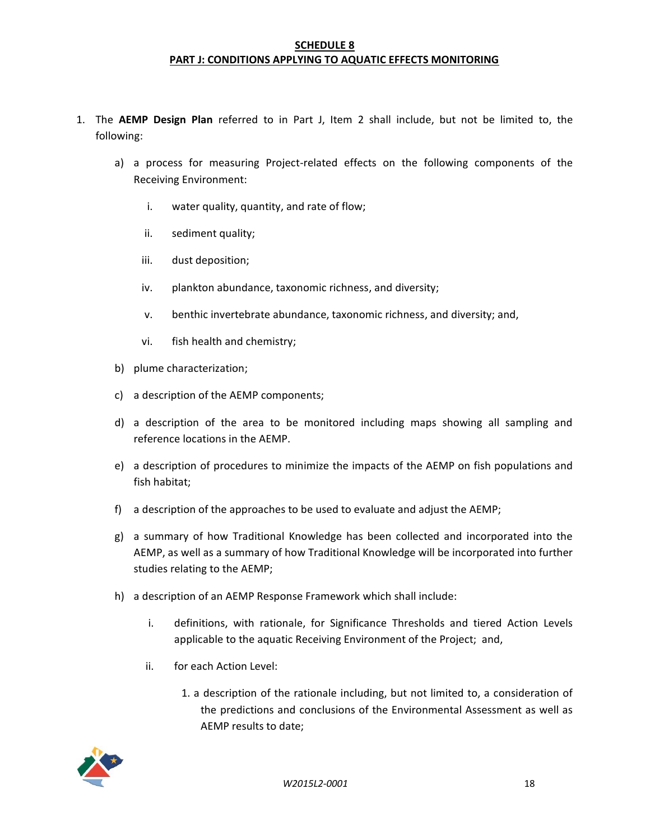### **SCHEDULE 8 PART J: CONDITIONS APPLYING TO AQUATIC EFFECTS MONITORING**

- 1. The **AEMP Design Plan** referred to in Part J, Item 2 shall include, but not be limited to, the following:
	- a) a process for measuring Project-related effects on the following components of the Receiving Environment:
		- i. water quality, quantity, and rate of flow;
		- ii. sediment quality;
		- iii. dust deposition;
		- iv. plankton abundance, taxonomic richness, and diversity;
		- v. benthic invertebrate abundance, taxonomic richness, and diversity; and,
		- vi. fish health and chemistry;
	- b) plume characterization;
	- c) a description of the AEMP components;
	- d) a description of the area to be monitored including maps showing all sampling and reference locations in the AEMP.
	- e) a description of procedures to minimize the impacts of the AEMP on fish populations and fish habitat;
	- f) a description of the approaches to be used to evaluate and adjust the AEMP;
	- g) a summary of how Traditional Knowledge has been collected and incorporated into the AEMP, as well as a summary of how Traditional Knowledge will be incorporated into further studies relating to the AEMP;
	- h) a description of an AEMP Response Framework which shall include:
		- i. definitions, with rationale, for Significance Thresholds and tiered Action Levels applicable to the aquatic Receiving Environment of the Project; and,
		- ii. for each Action Level:
			- 1. a description of the rationale including, but not limited to, a consideration of the predictions and conclusions of the Environmental Assessment as well as AEMP results to date;

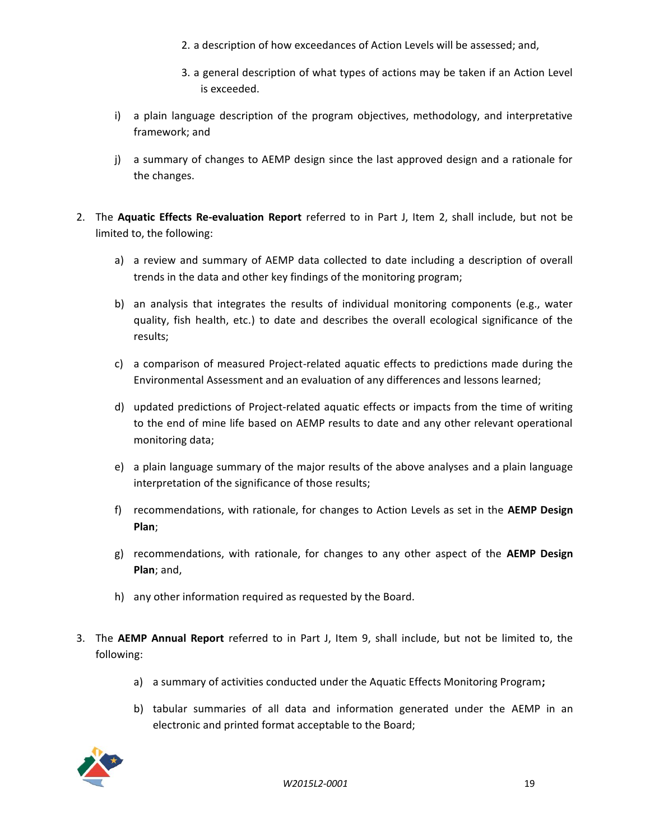- 2. a description of how exceedances of Action Levels will be assessed; and,
- 3. a general description of what types of actions may be taken if an Action Level is exceeded.
- i) a plain language description of the program objectives, methodology, and interpretative framework; and
- j) a summary of changes to AEMP design since the last approved design and a rationale for the changes.
- 2. The **Aquatic Effects Re-evaluation Report** referred to in Part J, Item 2, shall include, but not be limited to, the following:
	- a) a review and summary of AEMP data collected to date including a description of overall trends in the data and other key findings of the monitoring program;
	- b) an analysis that integrates the results of individual monitoring components (e.g., water quality, fish health, etc.) to date and describes the overall ecological significance of the results;
	- c) a comparison of measured Project-related aquatic effects to predictions made during the Environmental Assessment and an evaluation of any differences and lessons learned;
	- d) updated predictions of Project-related aquatic effects or impacts from the time of writing to the end of mine life based on AEMP results to date and any other relevant operational monitoring data;
	- e) a plain language summary of the major results of the above analyses and a plain language interpretation of the significance of those results;
	- f) recommendations, with rationale, for changes to Action Levels as set in the **AEMP Design Plan**;
	- g) recommendations, with rationale, for changes to any other aspect of the **AEMP Design Plan**; and,
	- h) any other information required as requested by the Board.
- 3. The **AEMP Annual Report** referred to in Part J, Item 9, shall include, but not be limited to, the following:
	- a) a summary of activities conducted under the Aquatic Effects Monitoring Program**;**
	- b) tabular summaries of all data and information generated under the AEMP in an electronic and printed format acceptable to the Board;

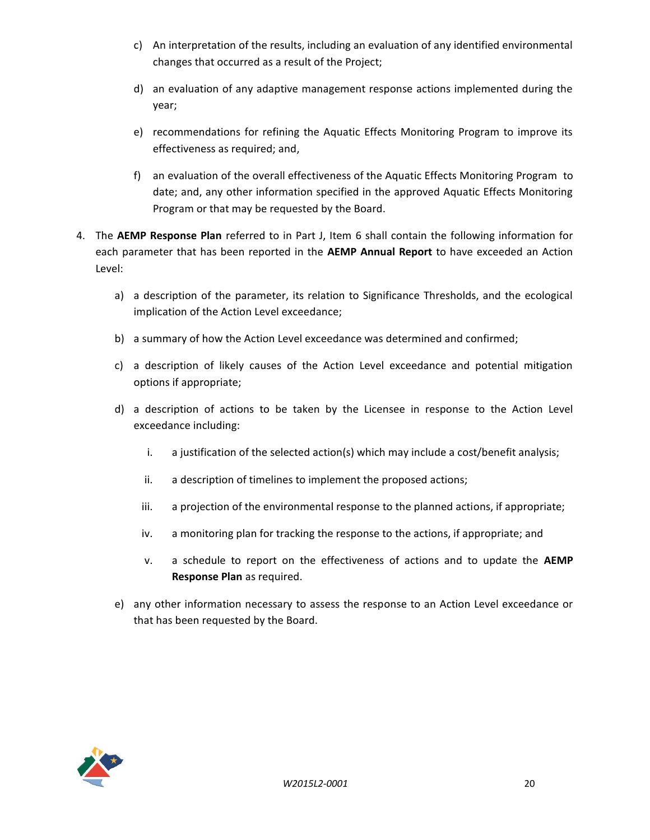- c) An interpretation of the results, including an evaluation of any identified environmental changes that occurred as a result of the Project;
- d) an evaluation of any adaptive management response actions implemented during the year;
- e) recommendations for refining the Aquatic Effects Monitoring Program to improve its effectiveness as required; and,
- f) an evaluation of the overall effectiveness of the Aquatic Effects Monitoring Program to date; and, any other information specified in the approved Aquatic Effects Monitoring Program or that may be requested by the Board.
- 4. The **AEMP Response Plan** referred to in Part J, Item 6 shall contain the following information for each parameter that has been reported in the **AEMP Annual Report** to have exceeded an Action Level:
	- a) a description of the parameter, its relation to Significance Thresholds, and the ecological implication of the Action Level exceedance;
	- b) a summary of how the Action Level exceedance was determined and confirmed;
	- c) a description of likely causes of the Action Level exceedance and potential mitigation options if appropriate;
	- d) a description of actions to be taken by the Licensee in response to the Action Level exceedance including:
		- i. a justification of the selected action(s) which may include a cost/benefit analysis;
		- ii. a description of timelines to implement the proposed actions;
		- iii. a projection of the environmental response to the planned actions, if appropriate;
		- iv. a monitoring plan for tracking the response to the actions, if appropriate; and
		- v. a schedule to report on the effectiveness of actions and to update the **AEMP Response Plan** as required.
	- e) any other information necessary to assess the response to an Action Level exceedance or that has been requested by the Board.

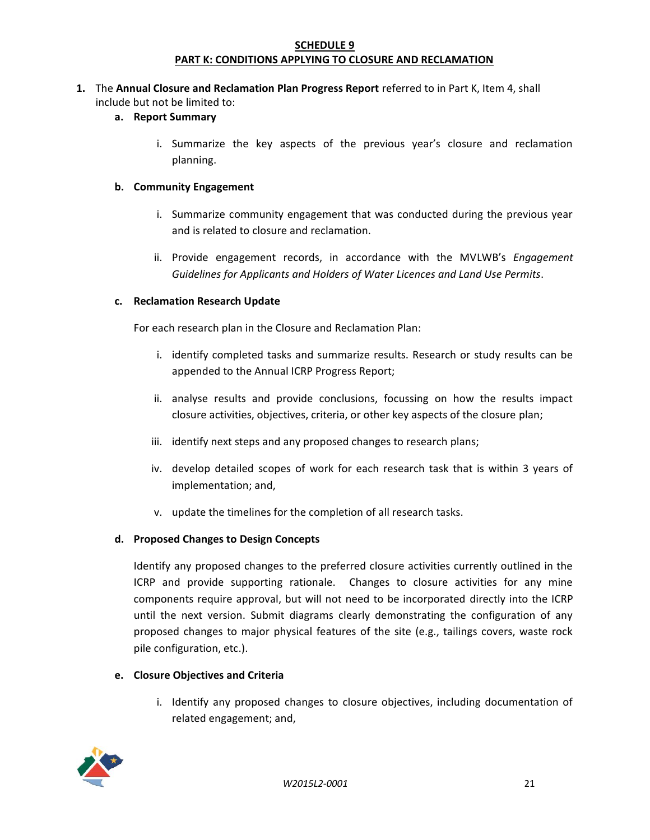## **SCHEDULE 9 PART K: CONDITIONS APPLYING TO CLOSURE AND RECLAMATION**

## **1.** The **Annual Closure and Reclamation Plan Progress Report** referred to in Part K, Item 4, shall include but not be limited to:

# **a. Report Summary**

i. Summarize the key aspects of the previous year's closure and reclamation planning.

### **b. Community Engagement**

- i. Summarize community engagement that was conducted during the previous year and is related to closure and reclamation.
- ii. Provide engagement records, in accordance with the MVLWB's *Engagement Guidelines for Applicants and Holders of Water Licences and Land Use Permits*.

## **c. Reclamation Research Update**

For each research plan in the Closure and Reclamation Plan:

- i. identify completed tasks and summarize results. Research or study results can be appended to the Annual ICRP Progress Report;
- ii. analyse results and provide conclusions, focussing on how the results impact closure activities, objectives, criteria, or other key aspects of the closure plan;
- iii. identify next steps and any proposed changes to research plans;
- iv. develop detailed scopes of work for each research task that is within 3 years of implementation; and,
- v. update the timelines for the completion of all research tasks.

# **d. Proposed Changes to Design Concepts**

Identify any proposed changes to the preferred closure activities currently outlined in the ICRP and provide supporting rationale. Changes to closure activities for any mine components require approval, but will not need to be incorporated directly into the ICRP until the next version. Submit diagrams clearly demonstrating the configuration of any proposed changes to major physical features of the site (e.g., tailings covers, waste rock pile configuration, etc.).

## **e. Closure Objectives and Criteria**

i. Identify any proposed changes to closure objectives, including documentation of related engagement; and,

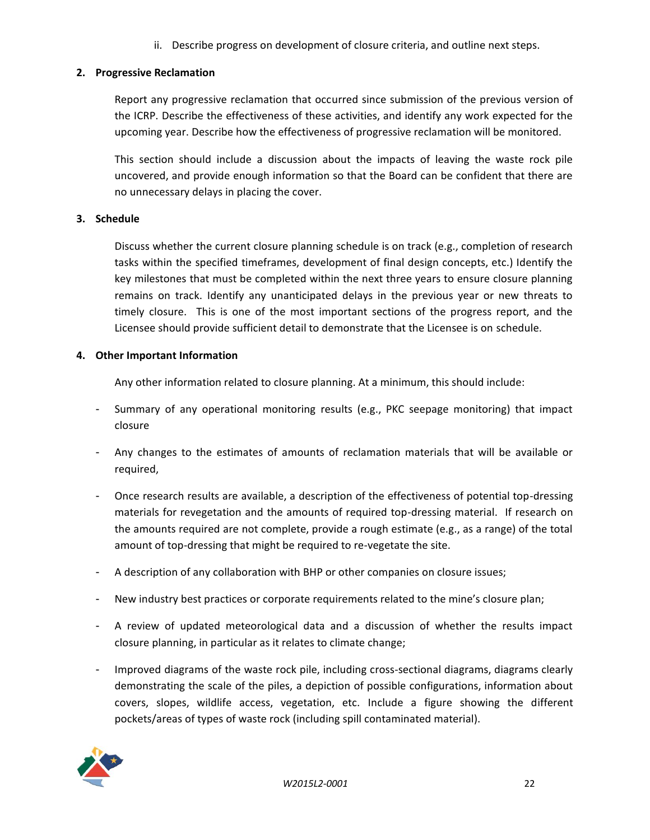ii. Describe progress on development of closure criteria, and outline next steps.

# **2. Progressive Reclamation**

Report any progressive reclamation that occurred since submission of the previous version of the ICRP. Describe the effectiveness of these activities, and identify any work expected for the upcoming year. Describe how the effectiveness of progressive reclamation will be monitored.

This section should include a discussion about the impacts of leaving the waste rock pile uncovered, and provide enough information so that the Board can be confident that there are no unnecessary delays in placing the cover.

## **3. Schedule**

Discuss whether the current closure planning schedule is on track (e.g., completion of research tasks within the specified timeframes, development of final design concepts, etc.) Identify the key milestones that must be completed within the next three years to ensure closure planning remains on track. Identify any unanticipated delays in the previous year or new threats to timely closure. This is one of the most important sections of the progress report, and the Licensee should provide sufficient detail to demonstrate that the Licensee is on schedule.

## **4. Other Important Information**

Any other information related to closure planning. At a minimum, this should include:

- Summary of any operational monitoring results (e.g., PKC seepage monitoring) that impact closure
- Any changes to the estimates of amounts of reclamation materials that will be available or required,
- Once research results are available, a description of the effectiveness of potential top-dressing materials for revegetation and the amounts of required top-dressing material. If research on the amounts required are not complete, provide a rough estimate (e.g., as a range) of the total amount of top-dressing that might be required to re-vegetate the site.
- A description of any collaboration with BHP or other companies on closure issues;
- New industry best practices or corporate requirements related to the mine's closure plan;
- A review of updated meteorological data and a discussion of whether the results impact closure planning, in particular as it relates to climate change;
- Improved diagrams of the waste rock pile, including cross-sectional diagrams, diagrams clearly demonstrating the scale of the piles, a depiction of possible configurations, information about covers, slopes, wildlife access, vegetation, etc. Include a figure showing the different pockets/areas of types of waste rock (including spill contaminated material).